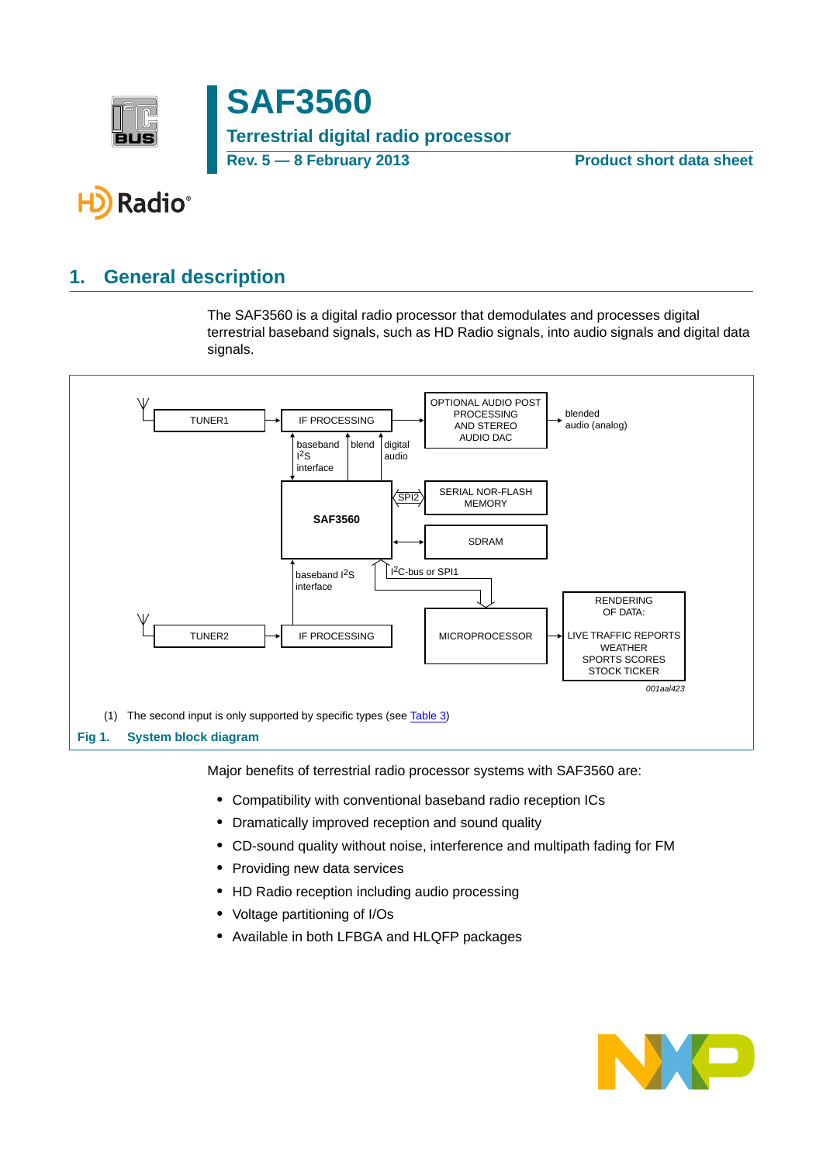

**SAF3560 Terrestrial digital radio processor Rev. 5 — 8 February 2013 Product short data sheet**

# Radio®

# <span id="page-0-0"></span>**1. General description**

The SAF3560 is a digital radio processor that demodulates and processes digital terrestrial baseband signals, such as HD Radio signals, into audio signals and digital data signals.



Major benefits of terrestrial radio processor systems with SAF3560 are:

- **•** Compatibility with conventional baseband radio reception ICs
- **•** Dramatically improved reception and sound quality
- **•** CD-sound quality without noise, interference and multipath fading for FM
- **•** Providing new data services
- **•** HD Radio reception including audio processing
- **•** Voltage partitioning of I/Os
- **•** Available in both LFBGA and HLQFP packages

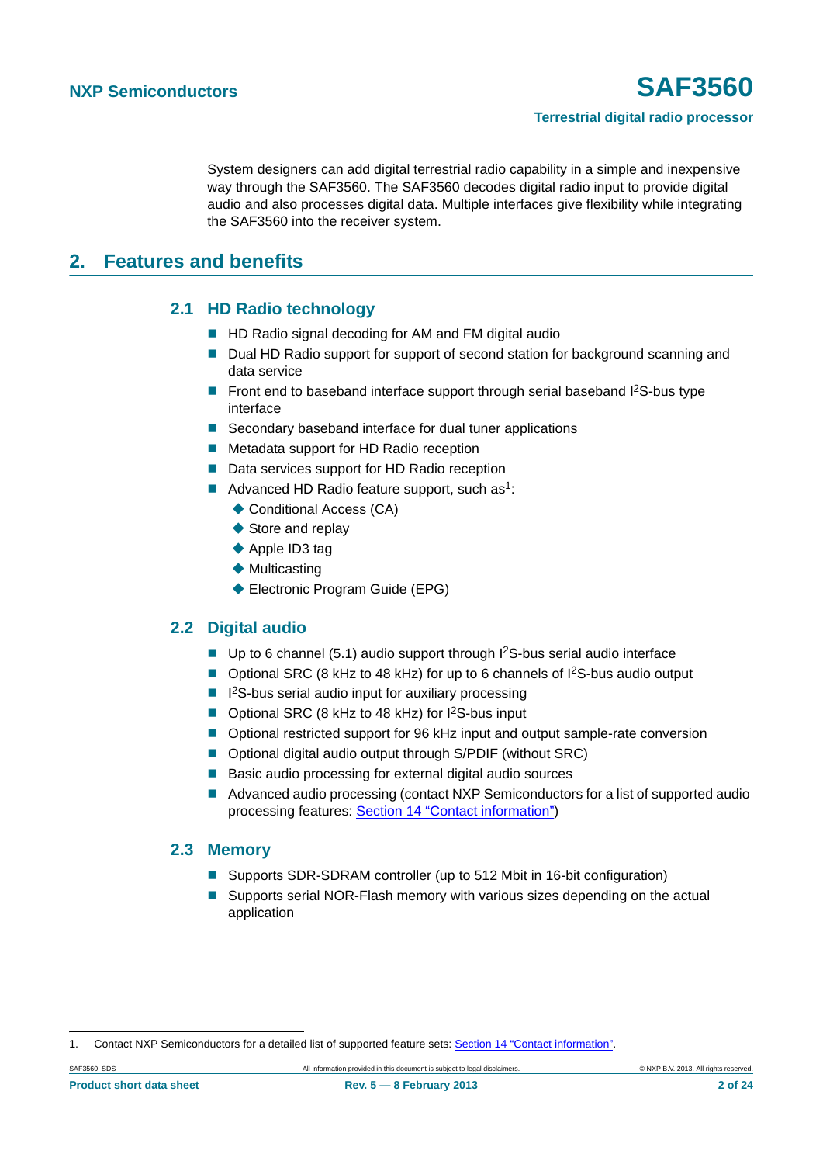System designers can add digital terrestrial radio capability in a simple and inexpensive way through the SAF3560. The SAF3560 decodes digital radio input to provide digital audio and also processes digital data. Multiple interfaces give flexibility while integrating the SAF3560 into the receiver system.

### <span id="page-1-1"></span><span id="page-1-0"></span>**2. Features and benefits**

#### **2.1 HD Radio technology**

- HD Radio signal decoding for AM and FM digital audio
- Dual HD Radio support for support of second station for background scanning and data service
- Front end to baseband interface support through serial baseband  $I^2S$ -bus type interface
- Secondary baseband interface for dual tuner applications
- Metadata support for HD Radio reception
- Data services support for HD Radio reception
- Advanced HD Radio feature support, such as<sup>1</sup>:
	- ◆ Conditional Access (CA)
	- ◆ Store and replay
	- ◆ Apple ID3 tag
	- $\blacklozenge$  Multicasting
	- ◆ Electronic Program Guide (EPG)

#### <span id="page-1-2"></span>**2.2 Digital audio**

- Up to 6 channel (5.1) audio support through  $l^2S$ -bus serial audio interface
- Optional SRC (8 kHz to 48 kHz) for up to 6 channels of I<sup>2</sup>S-bus audio output
- $\blacksquare$  I<sup>2</sup>S-bus serial audio input for auxiliary processing
- Optional SRC (8 kHz to 48 kHz) for I<sup>2</sup>S-bus input
- Optional restricted support for 96 kHz input and output sample-rate conversion
- Optional digital audio output through S/PDIF (without SRC)
- Basic audio processing for external digital audio sources
- Advanced audio processing (contact NXP Semiconductors for a list of supported audio processing features: [Section 14 "Contact information"](#page-22-0))

#### <span id="page-1-3"></span>**2.3 Memory**

- Supports SDR-SDRAM controller (up to 512 Mbit in 16-bit configuration)
- Supports serial NOR-Flash memory with various sizes depending on the actual application

<sup>1.</sup> Contact NXP Semiconductors for a detailed list of supported feature sets: [Section 14 "Contact information".](#page-22-0)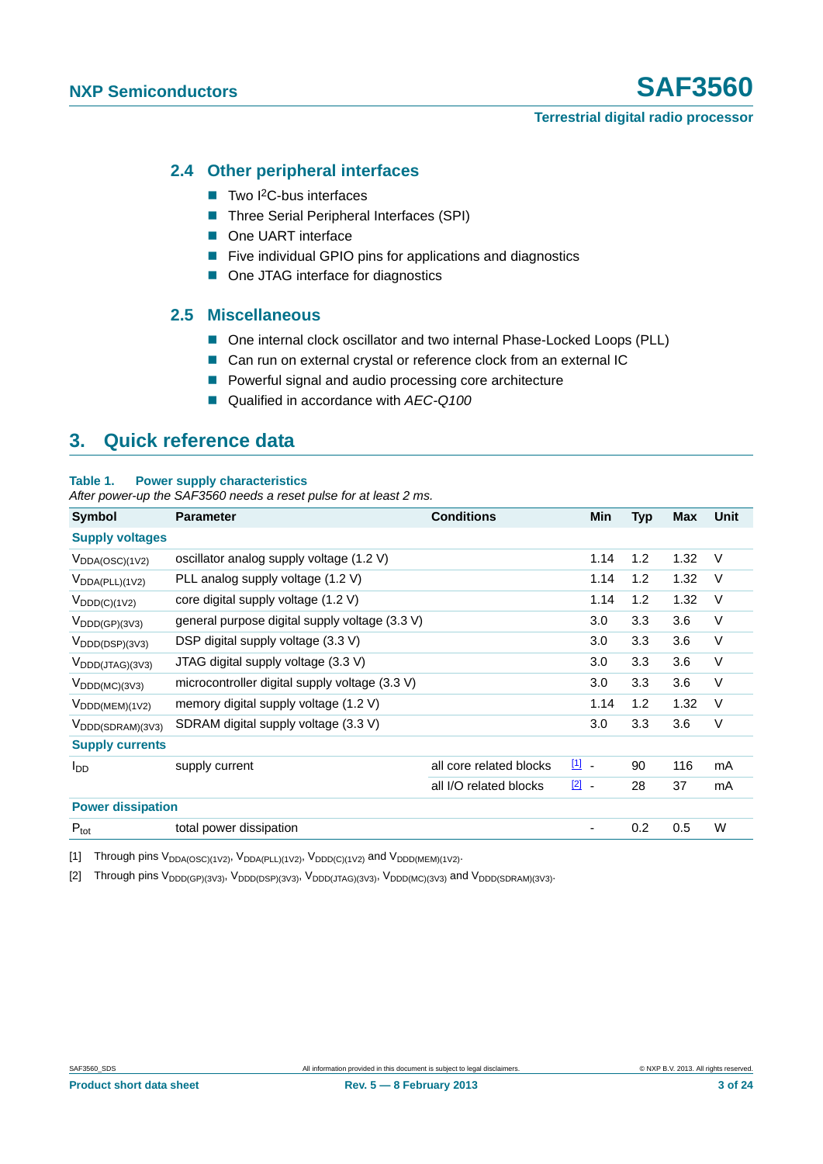#### <span id="page-2-2"></span>**2.4 Other peripheral interfaces**

- $\blacksquare$  Two I<sup>2</sup>C-bus interfaces
- Three Serial Peripheral Interfaces (SPI)
- One UART interface
- Five individual GPIO pins for applications and diagnostics
- One JTAG interface for diagnostics

#### <span id="page-2-3"></span>**2.5 Miscellaneous**

- One internal clock oscillator and two internal Phase-Locked Loops (PLL)
- Can run on external crystal or reference clock from an external IC
- **Powerful signal and audio processing core architecture**
- Qualified in accordance with *AEC-Q100*

### <span id="page-2-4"></span>**3. Quick reference data**

#### **Table 1. Power supply characteristics**

*After power-up the SAF3560 needs a reset pulse for at least 2 ms.*

| Symbol                                  | <b>Parameter</b>                               | <b>Conditions</b>       | Min           | <b>Typ</b> | <b>Max</b> | Unit   |
|-----------------------------------------|------------------------------------------------|-------------------------|---------------|------------|------------|--------|
| <b>Supply voltages</b>                  |                                                |                         |               |            |            |        |
| $V_{DDA(OSC)(1V2)}$                     | oscillator analog supply voltage (1.2 V)       |                         | 1.14          | 1.2        | 1.32       | V      |
| $V_{DDA(PLL)(1V2)}$                     | PLL analog supply voltage (1.2 V)              |                         | 1.14          | 1.2        | 1.32       | V      |
| $V_{\text{DDD}(C)(1V2)}$                | core digital supply voltage (1.2 V)            |                         | 1.14          | 1.2        | 1.32       | V      |
| $V_{\text{DDD}(\text{GP})(3\sqrt{3})}$  | general purpose digital supply voltage (3.3 V) |                         | 3.0           | 3.3        | 3.6        | V      |
| $V_{\text{DDD}(\text{DSP})(3V3)}$       | DSP digital supply voltage (3.3 V)             |                         | 3.0           | 3.3        | 3.6        | $\vee$ |
| $V_{\text{DDD}(JTAG)(3V3)}$             | JTAG digital supply voltage (3.3 V)            |                         | 3.0           | 3.3        | 3.6        | V      |
| $V_{\text{DDD}(MC)(3V3)}$               | microcontroller digital supply voltage (3.3 V) |                         | 3.0           | 3.3        | 3.6        | $\vee$ |
| $V_{\text{DDD(MEM)(1V2)}}$              | memory digital supply voltage (1.2 V)          |                         | 1.14          | 1.2        | 1.32       | $\vee$ |
| $V_{\text{DDD}(\text{SDRAM})(3\vee 3)}$ | SDRAM digital supply voltage (3.3 V)           |                         | 3.0           | 3.3        | 3.6        | V      |
| <b>Supply currents</b>                  |                                                |                         |               |            |            |        |
| $I_{DD}$                                | supply current                                 | all core related blocks | 凹 -           | 90         | 116        | mA     |
|                                         |                                                | all I/O related blocks  | $\boxed{2}$ . | 28         | 37         | mA     |
| <b>Power dissipation</b>                |                                                |                         |               |            |            |        |
| $P_{\text{tot}}$                        | total power dissipation                        |                         |               | 0.2        | 0.5        | W      |

<span id="page-2-0"></span>[1] Through pins  $V_{DDA(OSC)(1V2)}$ ,  $V_{DDA(PLL)(1V2)}$ ,  $V_{DDD(C)(1V2)}$  and  $V_{DDD(MEM)(1V2)}$ .

<span id="page-2-1"></span>[2] Through pins V<sub>DDD(GP)(3V3)</sub>, V<sub>DDD(DSP)(3V3)</sub>, V<sub>DDD(JTAG)(3V3)</sub>, V<sub>DDD(MC)(3V3)</sub> and V<sub>DDD(SDRAM)(3V3)</sub>.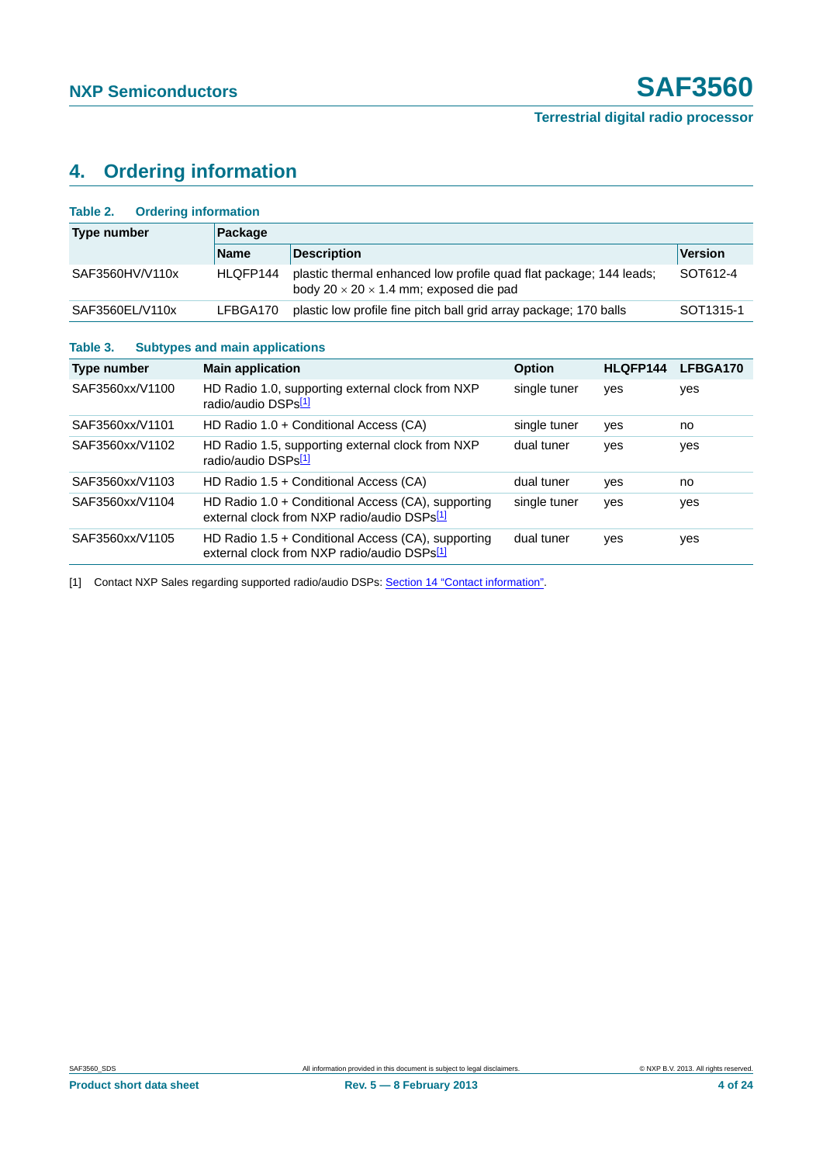# <span id="page-3-2"></span>**4. Ordering information**

<span id="page-3-0"></span>

| <b>Ordering information</b><br>Table 2.           |                                 |                                                                                                               |                                                                                |          |                       |  |  |  |  |  |  |
|---------------------------------------------------|---------------------------------|---------------------------------------------------------------------------------------------------------------|--------------------------------------------------------------------------------|----------|-----------------------|--|--|--|--|--|--|
| <b>Type number</b>                                | Package                         |                                                                                                               |                                                                                |          |                       |  |  |  |  |  |  |
|                                                   | <b>Name</b>                     | <b>Description</b>                                                                                            | <b>Version</b>                                                                 |          |                       |  |  |  |  |  |  |
| SAF3560HV/V110x                                   | HLQFP144                        | body $20 \times 20 \times 1.4$ mm; exposed die pad                                                            | plastic thermal enhanced low profile quad flat package; 144 leads;<br>SOT612-4 |          |                       |  |  |  |  |  |  |
| SAF3560EL/V110x                                   | LFBGA170                        | plastic low profile fine pitch ball grid array package; 170 balls                                             |                                                                                |          | SOT <sub>1315-1</sub> |  |  |  |  |  |  |
| <b>Subtypes and main applications</b><br>Table 3. |                                 |                                                                                                               |                                                                                |          |                       |  |  |  |  |  |  |
| Type number                                       | <b>Main application</b>         |                                                                                                               | <b>Option</b>                                                                  | HLQFP144 | LFBGA170              |  |  |  |  |  |  |
| SAF3560xx/V1100                                   | radio/audio DSPs <sup>[1]</sup> | HD Radio 1.0, supporting external clock from NXP                                                              | single tuner                                                                   | yes      | yes                   |  |  |  |  |  |  |
| SAF3560xx/V1101                                   |                                 | HD Radio 1.0 + Conditional Access (CA)                                                                        | single tuner                                                                   | yes      | no                    |  |  |  |  |  |  |
| SAF3560xx/V1102                                   | radio/audio DSPs <sup>[1]</sup> | HD Radio 1.5, supporting external clock from NXP                                                              | dual tuner                                                                     | yes      | yes                   |  |  |  |  |  |  |
| SAF3560xx/V1103                                   |                                 | HD Radio 1.5 + Conditional Access (CA)                                                                        | dual tuner                                                                     | yes      | no.                   |  |  |  |  |  |  |
| SAF3560xx/V1104                                   |                                 | HD Radio 1.0 + Conditional Access (CA), supporting<br>external clock from NXP radio/audio DSPs <sup>[1]</sup> | single tuner                                                                   | yes      | yes                   |  |  |  |  |  |  |
| SAF3560xx/V1105                                   |                                 | HD Radio $1.5 +$ Conditional Access (CA), supporting<br>external clock from NXP radio/audio DSPs[1]           | dual tuner                                                                     | yes      | yes                   |  |  |  |  |  |  |

<span id="page-3-1"></span>[1] Contact NXP Sales regarding supported radio/audio DSPs: [Section 14 "Contact information".](#page-22-0)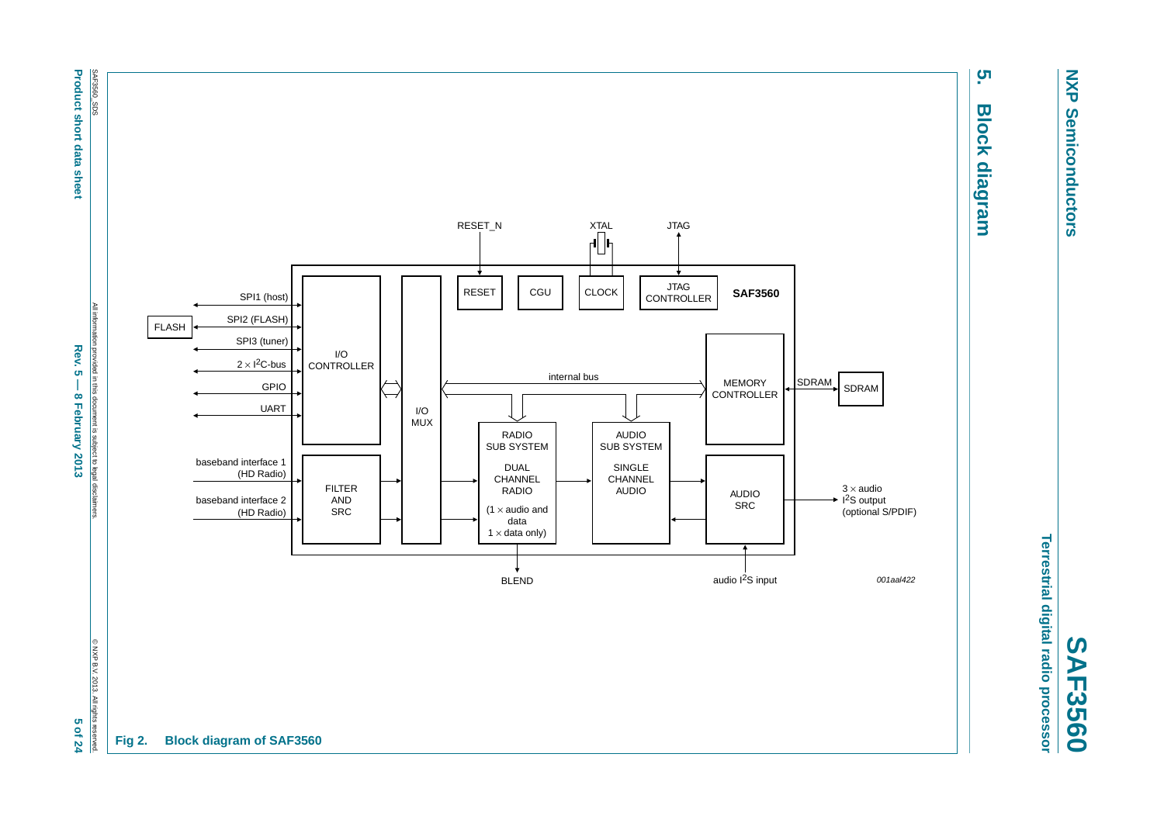**NXP NXP Semiconductors Semiconductors** 

Terrestrial digital radio processor **Terrestrial digital radio processor SAF3560**

# ຸທ **5. Block diagram Block diagram**

<span id="page-4-0"></span>

SAF3560\_SDS **Product short data sheet Product short data sheet**

All information provided in this document is subject to legal disclaimers. All information provided in this document is subject to legal disclaimer **Rev. 5 - 8 February 2013 Rev. 5 — 8 February 2013 5 of 24** 

© NXP B.V. 2013. All rights reserved. 5 of 24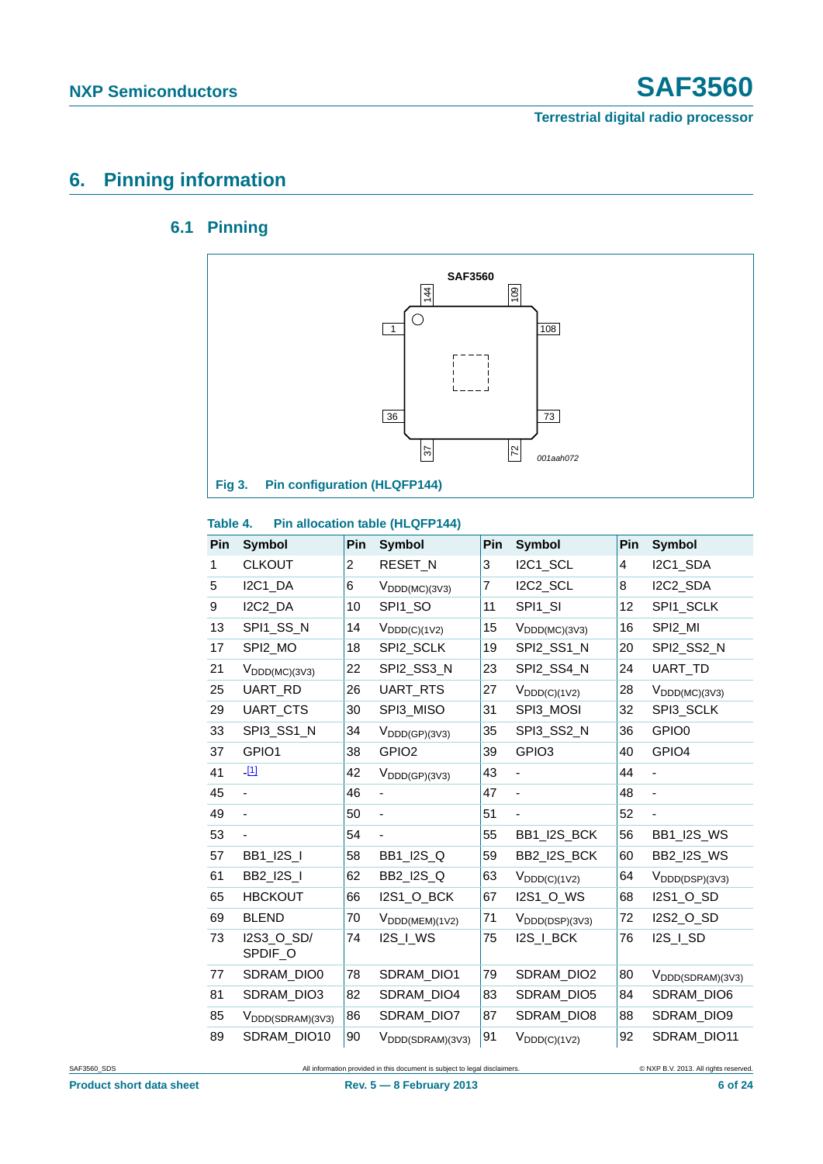# <span id="page-5-1"></span><span id="page-5-0"></span>**6. Pinning information**

### **6.1 Pinning**



#### **Table 4. Pin allocation table (HLQFP144)**

| Pin | <b>Symbol</b>                 | Pin | <b>Symbol</b>                        | Pin | <b>Symbol</b>              | Pin | <b>Symbol</b>                     |
|-----|-------------------------------|-----|--------------------------------------|-----|----------------------------|-----|-----------------------------------|
| 1   | <b>CLKOUT</b>                 | 2   | RESET_N                              | 3   | I2C1_SCL                   | 4   | I2C1_SDA                          |
| 5   | I2C1_DA                       | 6   | $V_{\text{DDD}(MC)(3V3)}$            | 7   | I2C2_SCL                   | 8   | I2C2_SDA                          |
| 9   | I2C2_DA                       | 10  | SPI1_SO                              | 11  | SPI1_SI                    | 12  | SPI1_SCLK                         |
| 13  | SPI1_SS_N                     | 14  | $V_{DDD(C)(1V2)}$                    | 15  | $V_{\text{DDD}(MC)(3V3)}$  | 16  | SPI2_MI                           |
| 17  | SPI2_MO                       | 18  | SPI2_SCLK                            | 19  | SPI2_SS1_N                 | 20  | SPI2_SS2_N                        |
| 21  | $V_{\text{DDD}(MC)(3V3)}$     | 22  | SPI2_SS3_N                           | 23  | SPI2_SS4_N                 | 24  | UART_TD                           |
| 25  | UART_RD                       | 26  | UART_RTS                             | 27  | $V_{\text{DDD}(C)(1V2)}$   | 28  | $V_{\text{DDD}(MC)(3V3)}$         |
| 29  | UART_CTS                      | 30  | SPI3_MISO                            | 31  | SPI3_MOSI                  | 32  | SPI3_SCLK                         |
| 33  | SPI3_SS1_N                    | 34  | $V_{\text{DDD}(\text{GP})(3\vee 3)}$ | 35  | SPI3_SS2_N                 | 36  | GPIO <sub>0</sub>                 |
| 37  | GPIO1                         | 38  | GPIO <sub>2</sub>                    | 39  | GPIO <sub>3</sub>          | 40  | GPIO4                             |
| 41  | $-11$                         | 42  | $V_{\text{DDD}(\text{GP})(3\vee 3)}$ | 43  |                            | 44  |                                   |
| 45  |                               | 46  |                                      | 47  |                            | 48  | $\overline{\phantom{0}}$          |
| 49  |                               | 50  | -                                    | 51  |                            | 52  |                                   |
| 53  |                               | 54  |                                      | 55  | BB1_I2S_BCK                | 56  | <b>BB1_I2S_WS</b>                 |
| 57  | <b>BB1_I2S_I</b>              | 58  | <b>BB1_I2S_Q</b>                     | 59  | BB2_I2S_BCK                | 60  | <b>BB2_I2S_WS</b>                 |
| 61  | BB2 I2S I                     | 62  | <b>BB2 I2S Q</b>                     | 63  | $V_{DDD(C)(1V2)}$          | 64  | $V_{\text{DDD}(\text{DSP})(3V3)}$ |
| 65  | <b>HBCKOUT</b>                | 66  | <b>I2S1_O_BCK</b>                    | 67  | I2S1_O_WS                  | 68  | I2S1_O_SD                         |
| 69  | <b>BLEND</b>                  | 70  | $V_{\text{DDD(MEM)}(1V2)}$           | 71  | V <sub>DDD(DSP)(3V3)</sub> | 72  | I2S2_O_SD                         |
| 73  | I2S3_O_SD/<br>SPDIF_O         | 74  | I2S_I_WS                             | 75  | I2S_I_BCK                  | 76  | I2S_I_SD                          |
| 77  | SDRAM_DIO0                    | 78  | SDRAM_DIO1                           | 79  | SDRAM_DIO2                 | 80  | V <sub>DDD</sub> (SDRAM)(3V3)     |
| 81  | SDRAM DIO3                    | 82  | SDRAM_DIO4                           | 83  | SDRAM DIO5                 | 84  | SDRAM_DIO6                        |
| 85  | V <sub>DDD</sub> (SDRAM)(3V3) | 86  | SDRAM_DIO7                           | 87  | SDRAM_DIO8                 | 88  | SDRAM_DIO9                        |
| 89  | SDRAM_DIO10                   | 90  | V <sub>DDD</sub> (SDRAM)(3V3)        | 91  | $V_{DDD(C)(1V2)}$          | 92  | SDRAM_DIO11                       |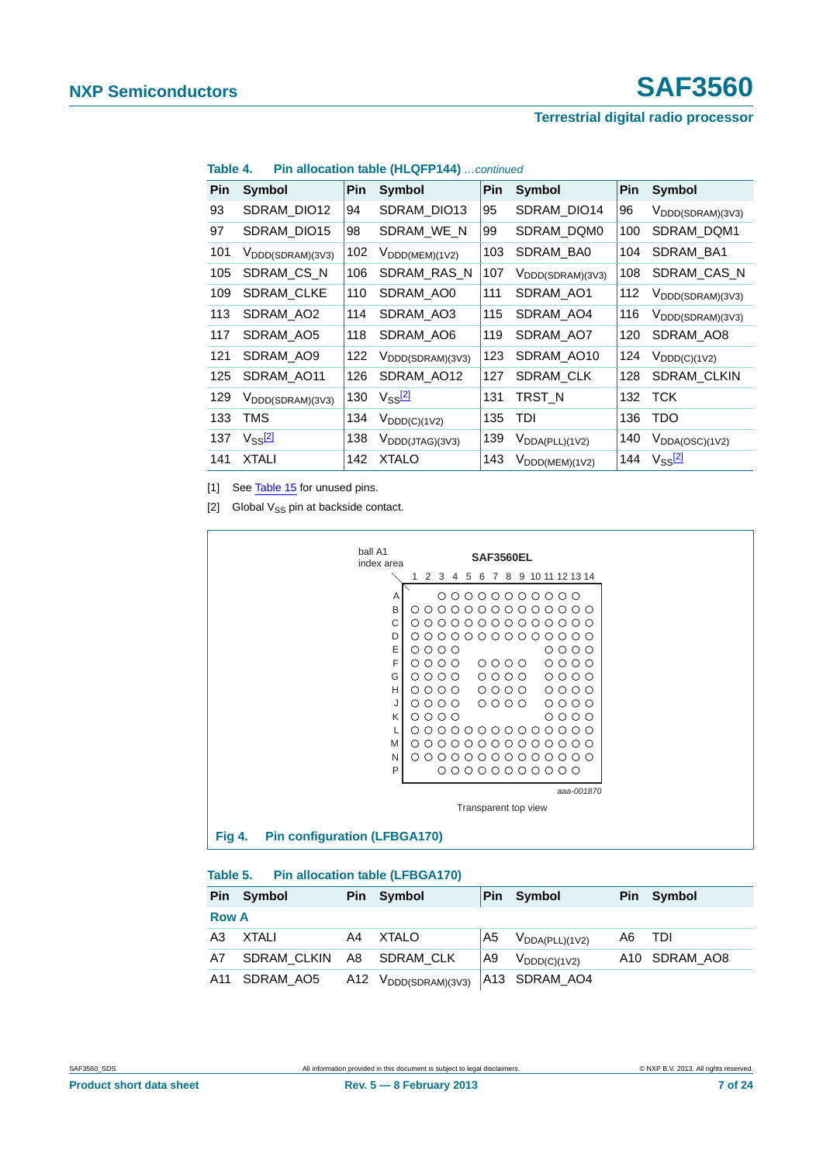| Pin | <b>Symbol</b>                             | Pin | Symbol                                    | <b>Pin</b> | Symbol                                    | Pin | <b>Symbol</b>                             |
|-----|-------------------------------------------|-----|-------------------------------------------|------------|-------------------------------------------|-----|-------------------------------------------|
| 93  | SDRAM_DIO12                               | 94  | SDRAM_DIO13                               | 95         | SDRAM_DIO14                               | 96  | $V_{\text{DDD}(\text{SDRAM})(3\sqrt{3})}$ |
| 97  | SDRAM DIO15                               | 98  | SDRAM WE N                                | 99         | SDRAM DQM0                                | 100 | SDRAM_DQM1                                |
| 101 | $V_{\text{DDD}(\text{SDRAM})(3\vee3)}$    | 102 | $V_{\text{DDD}(\text{MEM}) (1 \vee 2)}$   | 103        | SDRAM_BA0                                 | 104 | SDRAM_BA1                                 |
| 105 | SDRAM_CS_N                                | 106 | SDRAM_RAS_N                               | 107        | $V_{\text{DDD}(\text{SDRAM})(3\sqrt{3})}$ | 108 | SDRAM_CAS_N                               |
| 109 | <b>SDRAM CLKE</b>                         | 110 | SDRAM_AO0                                 | 111        | SDRAM AO1                                 | 112 | $V_{\text{DDD}(\text{SDRAM})(3\sqrt{3})}$ |
| 113 | SDRAM_AO2                                 | 114 | SDRAM_AO3                                 | 115        | SDRAM AO4                                 | 116 | V <sub>DDD</sub> (SDRAM)(3V3)             |
| 117 | SDRAM_AO5                                 | 118 | SDRAM_AO6                                 | 119        | SDRAM_AO7                                 | 120 | SDRAM_AO8                                 |
| 121 | SDRAM_AO9                                 | 122 | $V_{\text{DDD}(\text{SDRAM})(3\sqrt{3})}$ | 123        | SDRAM_AO10                                | 124 | $V_{DDD(C)(1V2)}$                         |
| 125 | SDRAM AO11                                | 126 | SDRAM AO12                                | 127        | <b>SDRAM CLK</b>                          | 128 | SDRAM_CLKIN                               |
| 129 | $V_{\text{DDD}(\text{SDRAM})(3\sqrt{3})}$ | 130 | $V_{SS}$ $^{21}$                          | 131        | TRST_N                                    | 132 | <b>TCK</b>                                |
| 133 | TMS                                       | 134 | $V_{\text{DDD}(C)(1V2)}$                  | 135        | TDI                                       | 136 | <b>TDO</b>                                |
| 137 | $V_{SS}$ <sup>[2]</sup>                   | 138 | $V_{\text{DDD}(JTAG)(3V3)}$               | 139        | $V_{DDA(PLL)(1V2)}$                       | 140 | $V_{DDA(OSC)(1V2)}$                       |
| 141 | <b>XTALI</b>                              | 142 | <b>XTALO</b>                              | 143        | $V_{\text{DDD}(\text{MEM}) (1 \vee 2)}$   | 144 | $V_{SS}$ <sup>[2]</sup>                   |

#### **Table 4. Pin allocation table (HLQFP144)** *…continued*

<span id="page-6-0"></span>[1] See [Table 15](#page-13-0) for unused pins.

<span id="page-6-1"></span>[2] Global  $V_{SS}$  pin at backside contact.



#### **Table 5. Pin allocation table (LFBGA170)**

|              | Pin Symbol               |    | Pin Symbol                                  | <b>Pin</b> | Symbol              |     | Pin Symbol    |
|--------------|--------------------------|----|---------------------------------------------|------------|---------------------|-----|---------------|
| <b>Row A</b> |                          |    |                                             |            |                     |     |               |
| A3           | XTALI                    | A4 | XTALO                                       | A5         | $V_{DDA(PLL)(1V2)}$ | A6. | - TDI         |
| A7           | SDRAM CLKIN A8 SDRAM CLK |    |                                             | l A9       | $V_{DDD(C)(1V2)}$   |     | A10 SDRAM AO8 |
| A11          | SDRAM AO5                |    | A12 $V_{\text{DDD}(\text{SDRAM})(3\vee 3)}$ |            | A13 SDRAM AO4       |     |               |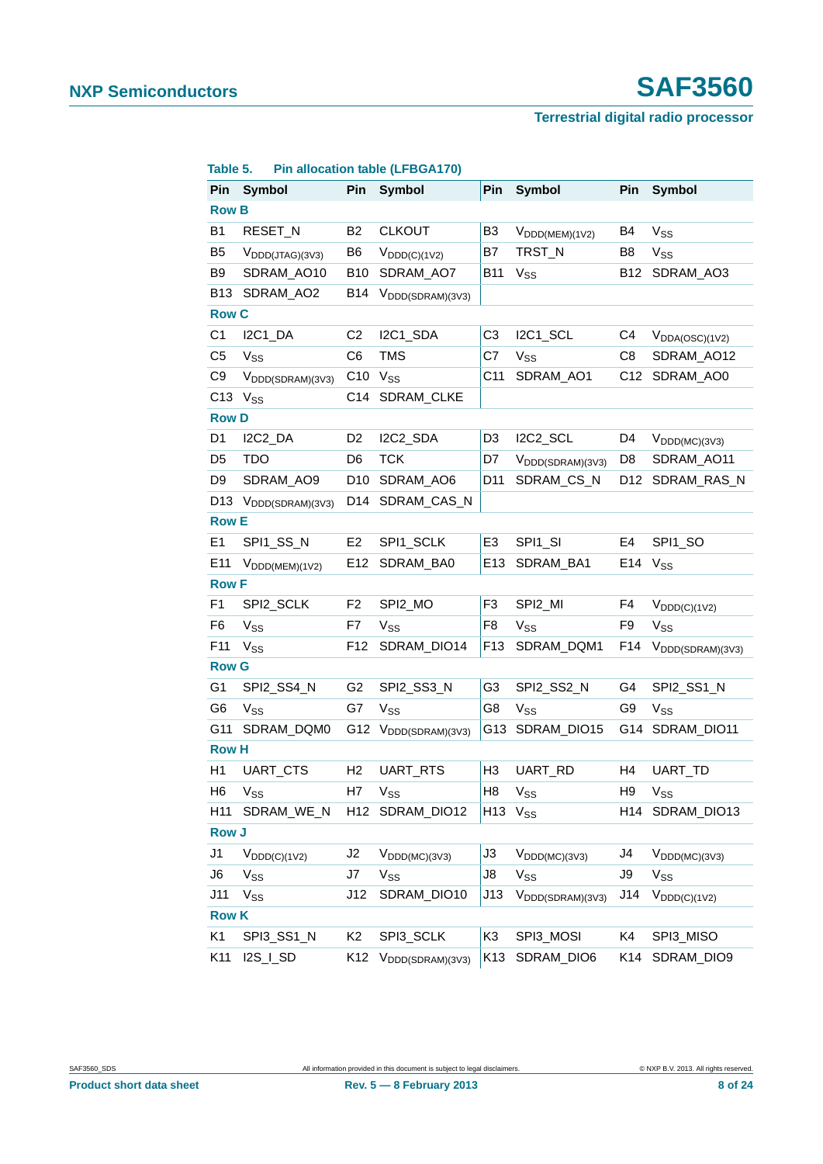# **NXP Semiconductors SAF3560**

#### **Terrestrial digital radio processor**

| Pin             | Symbol                        | Pin             | Symbol                                    | Pin                      | <b>Symbol</b>                 | Pin             | <b>Symbol</b>                 |
|-----------------|-------------------------------|-----------------|-------------------------------------------|--------------------------|-------------------------------|-----------------|-------------------------------|
| <b>Row B</b>    |                               |                 |                                           |                          |                               |                 |                               |
| <b>B1</b>       | RESET_N                       | <b>B2</b>       | <b>CLKOUT</b>                             | B <sub>3</sub>           | $V_{\text{DDD(MEM)}(1V2)}$    | <b>B4</b>       | $V_{SS}$                      |
| B5              | $V_{\text{DDD(JTAG)(3V3)}}$   | B <sub>6</sub>  | $V_{DDD(C)(1V2)}$                         | B7                       | TRST_N                        | B8              | $V_{SS}$                      |
| B <sub>9</sub>  | SDRAM_AO10                    | <b>B10</b>      | SDRAM_AO7                                 | <b>B11</b>               | $V_{SS}$                      | <b>B12</b>      | SDRAM_AO3                     |
| <b>B13</b>      | SDRAM_AO2                     | B14             | $V_{\text{DDD}(\text{SDRAM})(3\sqrt{3})}$ |                          |                               |                 |                               |
| <b>Row C</b>    |                               |                 |                                           |                          |                               |                 |                               |
| C <sub>1</sub>  | I2C1_DA                       | C <sub>2</sub>  | I2C1_SDA                                  | C <sub>3</sub>           | I2C1_SCL                      | C <sub>4</sub>  | $V_{DDA(OSC)(1V2)}$           |
| C5              | <b>V<sub>SS</sub></b>         | C6              | <b>TMS</b>                                | C7                       | $V_{SS}$                      | C <sub>8</sub>  | SDRAM_AO12                    |
| C9              | V <sub>DDD</sub> (SDRAM)(3V3) |                 | $C10$ $V_{SS}$                            | C11                      | SDRAM_AO1                     | C <sub>12</sub> | SDRAM_AO0                     |
| C <sub>13</sub> | V <sub>SS</sub>               |                 | C14 SDRAM_CLKE                            |                          |                               |                 |                               |
| <b>Row D</b>    |                               |                 |                                           |                          |                               |                 |                               |
| D <sub>1</sub>  | I2C2_DA                       | D <sub>2</sub>  | I2C2_SDA                                  | D <sub>3</sub>           | I2C2_SCL                      | D4              | $V_{\text{DDD}(MC)(3V3)}$     |
| D <sub>5</sub>  | <b>TDO</b>                    | D <sub>6</sub>  | <b>TCK</b>                                | D7                       | V <sub>DDD</sub> (SDRAM)(3V3) | D <sub>8</sub>  | SDRAM_AO11                    |
| D <sub>9</sub>  | SDRAM_AO9                     | D <sub>10</sub> | SDRAM_AO6                                 | D11                      | SDRAM_CS_N                    | D <sub>12</sub> | SDRAM_RAS_N                   |
| D13             | V <sub>DDD</sub> (SDRAM)(3V3) |                 | D14 SDRAM_CAS_N                           |                          |                               |                 |                               |
| <b>Row E</b>    |                               |                 |                                           |                          |                               |                 |                               |
| E1              | SPI1_SS_N                     | E <sub>2</sub>  | SPI1_SCLK                                 | E <sub>3</sub>           | SPI1_SI                       | E <sub>4</sub>  | SPI1_SO                       |
| E <sub>11</sub> | $V_{\text{DDD(MEM)}(1V2)}$    | E12             | SDRAM_BA0                                 | E13                      | SDRAM_BA1                     |                 | $E14$ $V_{SS}$                |
| <b>Row F</b>    |                               |                 |                                           |                          |                               |                 |                               |
| F <sub>1</sub>  | SPI2_SCLK                     | F <sub>2</sub>  | SPI2_MO                                   | F3                       | SPI2_MI                       | F <sub>4</sub>  | $V_{\mathsf{DDD}(C)(1V2)}$    |
| F <sub>6</sub>  | $V_{SS}$                      | F7              | V <sub>SS</sub>                           | F <sub>8</sub>           | $V_{SS}$                      | F <sub>9</sub>  | $V_{SS}$                      |
| F11             | V <sub>SS</sub>               | F12             | SDRAM_DIO14                               | F <sub>13</sub>          | SDRAM_DQM1                    | F14             | V <sub>DDD</sub> (SDRAM)(3V3) |
| <b>Row G</b>    |                               |                 |                                           |                          |                               |                 |                               |
| G <sub>1</sub>  | SPI2_SS4_N                    | G <sub>2</sub>  | SPI2_SS3_N                                | G <sub>3</sub>           | SPI2_SS2_N                    | G4              | SPI2_SS1_N                    |
| G <sub>6</sub>  | <b>V<sub>SS</sub></b>         | G7              | V <sub>SS</sub>                           | G8                       | $V_{SS}$                      | G9              | $V_{SS}$                      |
| G11             | SDRAM_DQM0                    |                 | G12 V <sub>DDD</sub> (SDRAM)(3V3)         | G13                      | SDRAM_DIO15                   | G14             | SDRAM_DIO11                   |
| <b>Row H</b>    |                               |                 |                                           |                          |                               |                 |                               |
| H1              | UART_CTS                      | H2              | UART_RTS                                  | H <sub>3</sub>           | UART_RD                       | H4              | UART_TD                       |
| H6              | $V_{SS}$                      | H7              | $V_{SS}$                                  | H8                       | $V_\mathsf{SS}$               | H9              | $V_\mathsf{SS}$               |
| H <sub>11</sub> | SDRAM_WE_N                    |                 | H12 SDRAM_DIO12                           | H <sub>13</sub> $V_{SS}$ |                               |                 | H14 SDRAM DIO13               |
| <b>Row J</b>    |                               |                 |                                           |                          |                               |                 |                               |
| J1              | $V_{DDD(C)(1V2)}$             | J2              | $V_{\text{DDD}(MC)(3V3)}$                 | J3                       | $V_{\text{DDD}(MC)(3V3)}$     | J4              | $V_{DDD(MC)(3V3)}$            |
| J6              | $V_{SS}$                      | J7              | $V_{SS}$                                  | J8                       | $V_{SS}$                      | J9              | $V_{SS}$                      |
| J11             | $V_{SS}$                      | J12             | SDRAM_DIO10                               | J13                      | V <sub>DDD(SDRAM)</sub> (3V3) | J14             | $V_{DDD(C)(1V2)}$             |
| <b>Row K</b>    |                               |                 |                                           |                          |                               |                 |                               |
| K1              | SPI3_SS1_N                    | K2              | SPI3_SCLK                                 | K3                       | SPI3_MOSI                     | K4              | SPI3_MISO                     |
| K11             | I2S_I_SD                      | K12             | V <sub>DDD</sub> (SDRAM)(3V3)             | K13                      | SDRAM_DIO6                    | K14             | SDRAM_DIO9                    |

#### **Table 5. Pin allocation table (LFBGA170)**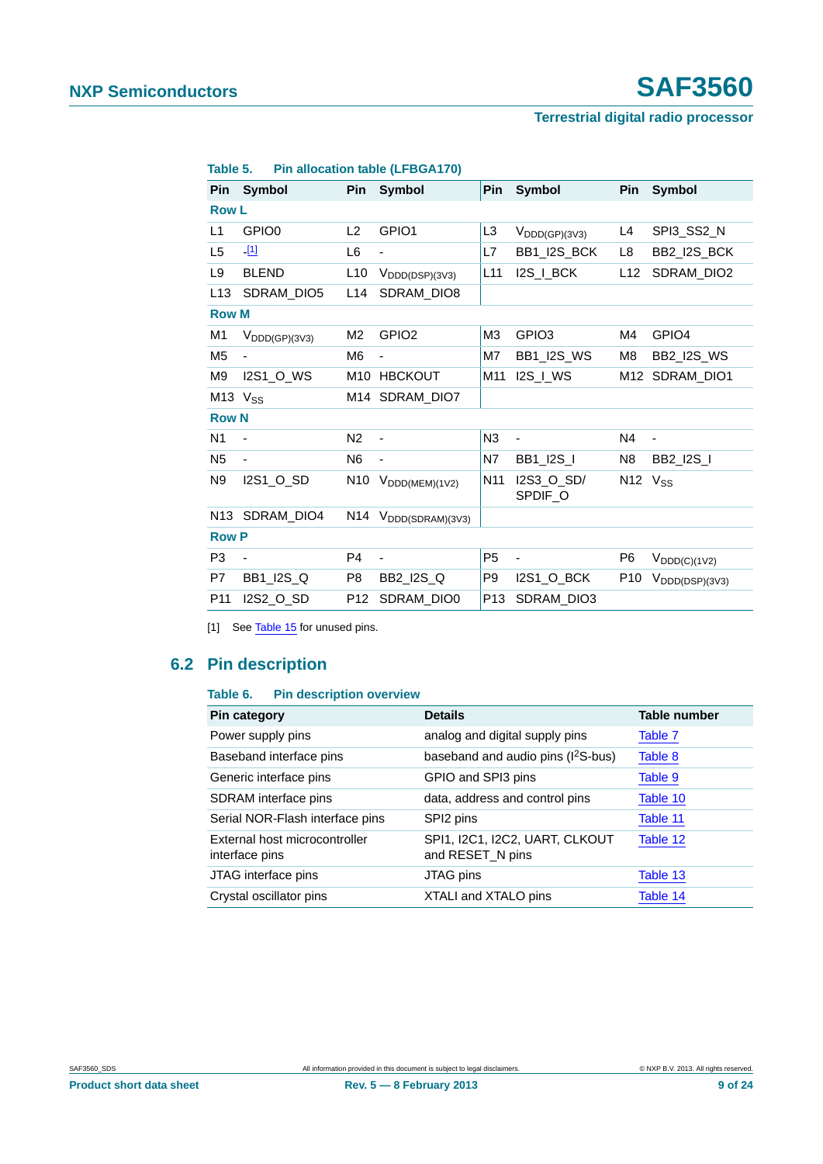| Pin             | <b>Symbol</b>                        | <b>Pin</b>      | Symbol                            | <b>Pin</b>      | <b>Symbol</b>                        | Pin             | <b>Symbol</b>                     |
|-----------------|--------------------------------------|-----------------|-----------------------------------|-----------------|--------------------------------------|-----------------|-----------------------------------|
| <b>Row L</b>    |                                      |                 |                                   |                 |                                      |                 |                                   |
| L1              | GPIO <sub>0</sub>                    | L2              | GPIO1                             | L <sub>3</sub>  | $V_{\text{DDD}(\text{GP})(3\vee 3)}$ | L4              | SPI3_SS2_N                        |
| L <sub>5</sub>  | <u>-[1]</u>                          | L <sub>6</sub>  |                                   | L7              | BB1_I2S_BCK                          | L8              | BB2_I2S_BCK                       |
| L9              | <b>BLEND</b>                         | L10             | $V_{\text{DDD}(\text{DSP})}(3V3)$ | L11             | I2S_I_BCK                            | L12             | SDRAM_DIO2                        |
| L <sub>13</sub> | SDRAM_DIO5                           | L14             | SDRAM_DIO8                        |                 |                                      |                 |                                   |
| <b>Row M</b>    |                                      |                 |                                   |                 |                                      |                 |                                   |
| M <sub>1</sub>  | $V_{\text{DDD}(\text{GP})(3\vee 3)}$ | M <sub>2</sub>  | GPIO <sub>2</sub>                 | MЗ              | GPIO <sub>3</sub>                    | M4              | GPIO <sub>4</sub>                 |
| M <sub>5</sub>  |                                      | M <sub>6</sub>  |                                   | M7              | <b>BB1_I2S_WS</b>                    | M8              | <b>BB2_I2S_WS</b>                 |
| M9              | <b>I2S1_O_WS</b>                     | M <sub>10</sub> | <b>HBCKOUT</b>                    | M11             | $IZS_l_WS$                           |                 | M12 SDRAM_DIO1                    |
|                 | $M13$ $V_{SS}$                       |                 | M14 SDRAM_DIO7                    |                 |                                      |                 |                                   |
| <b>Row N</b>    |                                      |                 |                                   |                 |                                      |                 |                                   |
| N <sub>1</sub>  | $\overline{\phantom{m}}$             | N <sub>2</sub>  | $\blacksquare$                    | N3              | $\overline{\phantom{a}}$             | N4              | $\blacksquare$                    |
| N <sub>5</sub>  |                                      | N <sub>6</sub>  | ä,                                | N7              | <b>BB1_I2S_I</b>                     | N <sub>8</sub>  | <b>BB2_I2S_I</b>                  |
| N <sub>9</sub>  | I2S1_O_SD                            | N <sub>10</sub> | $V_{\text{DDD}(MEM)(1V2)}$        | N <sub>11</sub> | I2S3_O_SD/<br>SPDIF_O                | $N12$ $V_{SS}$  |                                   |
| N <sub>13</sub> | SDRAM DIO4                           |                 | N14 V <sub>DDD</sub> (SDRAM)(3V3) |                 |                                      |                 |                                   |
| <b>Row P</b>    |                                      |                 |                                   |                 |                                      |                 |                                   |
| P <sub>3</sub>  |                                      | P <sub>4</sub>  | ä,                                | P <sub>5</sub>  | ä,                                   | P <sub>6</sub>  | $V_{\text{DDD}(C)(1V2)}$          |
| P7              | BB1_I2S_Q                            | P8              | BB2_I2S_Q                         | P9              | 12S1_O_BCK                           | P <sub>10</sub> | $V_{\text{DDD}(\text{DSP})(3V3)}$ |
| P <sub>11</sub> | I2S2_O_SD                            | P <sub>12</sub> | SDRAM_DIO0                        | P <sub>13</sub> | SDRAM_DIO3                           |                 |                                   |

#### **Table 5. Pin allocation table (LFBGA170)**

<span id="page-8-0"></span>[1] See [Table 15](#page-13-0) for unused pins.

# <span id="page-8-1"></span>**6.2 Pin description**

#### **Table 6. Pin description overview**

| <b>Pin category</b>                             | <b>Details</b>                                     | <b>Table number</b> |
|-------------------------------------------------|----------------------------------------------------|---------------------|
| Power supply pins                               | analog and digital supply pins                     | Table 7             |
| Baseband interface pins                         | baseband and audio pins (I <sup>2</sup> S-bus)     | Table 8             |
| Generic interface pins                          | GPIO and SPI3 pins                                 | Table 9             |
| SDRAM interface pins                            | data, address and control pins                     | Table 10            |
| Serial NOR-Flash interface pins                 | SPI2 pins                                          | Table 11            |
| External host microcontroller<br>interface pins | SPI1, I2C1, I2C2, UART, CLKOUT<br>and RESET_N pins | Table 12            |
| JTAG interface pins                             | JTAG pins                                          | Table 13            |
| Crystal oscillator pins                         | XTALI and XTALO pins                               | Table 14            |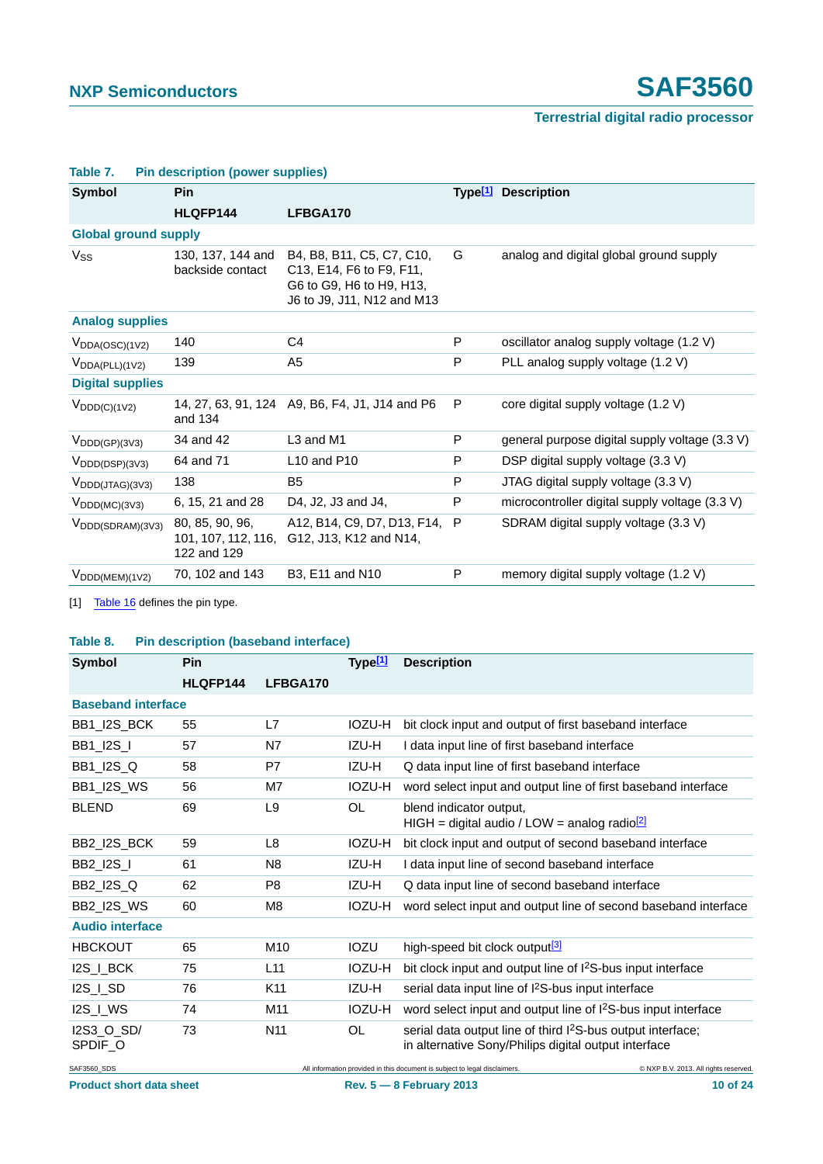| <b>Symbol</b>                           | Pin                                                   |                                                                                                                 |   | Type <sup>[1]</sup> Description                |
|-----------------------------------------|-------------------------------------------------------|-----------------------------------------------------------------------------------------------------------------|---|------------------------------------------------|
|                                         | HLQFP144                                              | LFBGA170                                                                                                        |   |                                                |
| <b>Global ground supply</b>             |                                                       |                                                                                                                 |   |                                                |
| $V_{SS}$                                | 130, 137, 144 and<br>backside contact                 | B4, B8, B11, C5, C7, C10,<br>C13, E14, F6 to F9, F11,<br>G6 to G9, H6 to H9, H13,<br>J6 to J9, J11, N12 and M13 | G | analog and digital global ground supply        |
| <b>Analog supplies</b>                  |                                                       |                                                                                                                 |   |                                                |
| $V_{DDA(OSC)(1V2)}$                     | 140                                                   | C4                                                                                                              | P | oscillator analog supply voltage (1.2 V)       |
| $V_{DDA(PLL)(1V2)}$                     | 139                                                   | A5                                                                                                              | P | PLL analog supply voltage (1.2 V)              |
| <b>Digital supplies</b>                 |                                                       |                                                                                                                 |   |                                                |
| $V_{DDD(C)(1V2)}$                       | and 134                                               | 14, 27, 63, 91, 124 A9, B6, F4, J1, J14 and P6                                                                  | P | core digital supply voltage (1.2 V)            |
| $V_{\text{DDD}(\text{GP})(3\vee 3)}$    | 34 and 42                                             | L3 and M1                                                                                                       | P | general purpose digital supply voltage (3.3 V) |
| $V_{\text{DDD}(\text{DSP})(3V3)}$       | 64 and 71                                             | L10 and P10                                                                                                     | P | DSP digital supply voltage (3.3 V)             |
| $V_{\text{DDD(JTAG)(3V3)}}$             | 138                                                   | B <sub>5</sub>                                                                                                  | P | JTAG digital supply voltage (3.3 V)            |
| $V_{\text{DDD}(MC)(3V3)}$               | 6, 15, 21 and 28                                      | D4, J2, J3 and J4,                                                                                              | P | microcontroller digital supply voltage (3.3 V) |
| $V_{\text{DDD}(\text{SDRAM})(3\vee 3)}$ | 80, 85, 90, 96,<br>101, 107, 112, 116,<br>122 and 129 | A12, B14, C9, D7, D13, F14,<br>G12, J13, K12 and N14,                                                           | P | SDRAM digital supply voltage (3.3 V)           |
| $V_{\text{DDD(MEM)}(1V2)}$              | 70, 102 and 143                                       | <b>B3, E11 and N10</b>                                                                                          | P | memory digital supply voltage (1.2 V)          |

#### <span id="page-9-0"></span>**Table 7. Pin description (power supplies)**

<span id="page-9-2"></span>[1] [Table 16](#page-13-3) defines the pin type.

#### <span id="page-9-1"></span>**Table 8. Pin description (baseband interface)**

| Symbol                    | Pin      |                 | Type <sup>[1]</sup> | <b>Description</b>                                                                                                              |
|---------------------------|----------|-----------------|---------------------|---------------------------------------------------------------------------------------------------------------------------------|
|                           | HLQFP144 | LFBGA170        |                     |                                                                                                                                 |
| <b>Baseband interface</b> |          |                 |                     |                                                                                                                                 |
| BB1_I2S_BCK               | 55       | L7              | IOZU-H              | bit clock input and output of first baseband interface                                                                          |
| <b>BB1_I2S_I</b>          | 57       | N7              | IZU-H               | I data input line of first baseband interface                                                                                   |
| <b>BB1_I2S_Q</b>          | 58       | P7              | IZU-H               | Q data input line of first baseband interface                                                                                   |
| BB1_I2S_WS                | 56       | M7              | IOZU-H              | word select input and output line of first baseband interface                                                                   |
| <b>BLEND</b>              | 69       | L9              | OL                  | blend indicator output,<br>HIGH = digital audio / LOW = analog radio $\frac{[2]}{[2]}$                                          |
| BB2_I2S_BCK               | 59       | L8              | <b>IOZU-H</b>       | bit clock input and output of second baseband interface                                                                         |
| <b>BB2_I2S_I</b>          | 61       | N <sub>8</sub>  | IZU-H               | I data input line of second baseband interface                                                                                  |
| BB2_I2S_Q                 | 62       | P <sub>8</sub>  | IZU-H               | Q data input line of second baseband interface                                                                                  |
| <b>BB2 I2S WS</b>         | 60       | M <sub>8</sub>  | IOZU-H              | word select input and output line of second baseband interface                                                                  |
| <b>Audio interface</b>    |          |                 |                     |                                                                                                                                 |
| <b>HBCKOUT</b>            | 65       | M <sub>10</sub> | <b>IOZU</b>         | high-speed bit clock output <sup>[3]</sup>                                                                                      |
| I2S_I_BCK                 | 75       | L11             | IOZU-H              | bit clock input and output line of $12S-bus$ input interface                                                                    |
| I2S_I_SD                  | 76       | K11             | IZU-H               | serial data input line of I <sup>2</sup> S-bus input interface                                                                  |
| I2S_I_WS                  | 74       | M11             | <b>IOZU-H</b>       | word select input and output line of I <sup>2</sup> S-bus input interface                                                       |
| I2S3 O SD/<br>SPDIF_O     | 73       | N <sub>11</sub> | OL                  | serial data output line of third I <sup>2</sup> S-bus output interface;<br>in alternative Sony/Philips digital output interface |
| SAF3560 SDS               |          |                 |                     | All information provided in this document is subject to legal disclaimers.<br>© NXP B.V. 2013. All rights reserved.             |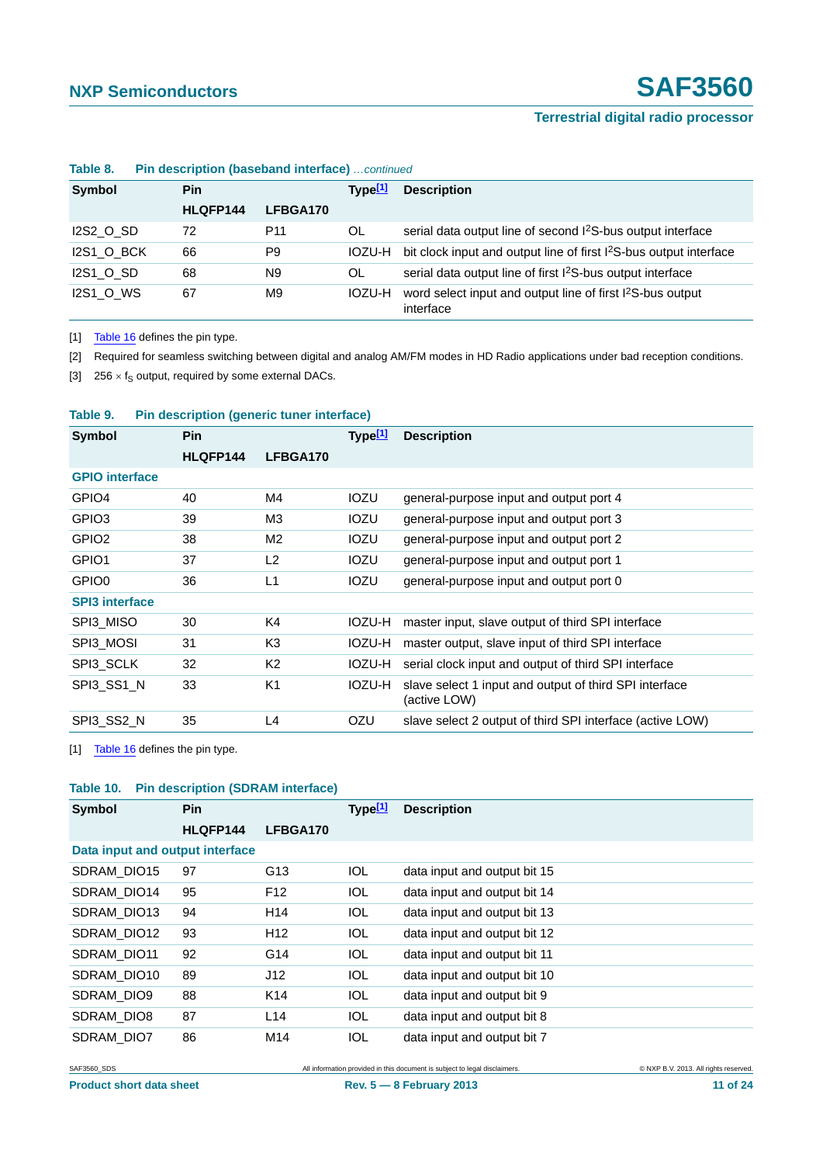| .                           |          | $\blacksquare$      |                    |                                                                                     |
|-----------------------------|----------|---------------------|--------------------|-------------------------------------------------------------------------------------|
| <b>Symbol</b><br><b>Pin</b> |          | Type <sup>[1]</sup> | <b>Description</b> |                                                                                     |
|                             | HLQFP144 | LFBGA170            |                    |                                                                                     |
| <b>I2S2 O SD</b>            | 72       | P <sub>11</sub>     | OL.                | serial data output line of second I <sup>2</sup> S-bus output interface             |
| I2S1 O BCK                  | 66       | P9                  | IOZU-H             | bit clock input and output line of first I <sup>2</sup> S-bus output interface      |
| <b>I2S1 O SD</b>            | 68       | N9                  | OL                 | serial data output line of first I <sup>2</sup> S-bus output interface              |
| <b>I2S1_O_WS</b>            | 67       | M <sub>9</sub>      | IOZU-H             | word select input and output line of first I <sup>2</sup> S-bus output<br>interface |

#### **Table 8. Pin description (baseband interface)** *…continued*

<span id="page-10-2"></span>[1] [Table 16](#page-13-3) defines the pin type.

<span id="page-10-3"></span>[2] Required for seamless switching between digital and analog AM/FM modes in HD Radio applications under bad reception conditions.

<span id="page-10-4"></span>[3]  $256 \times f_S$  output, required by some external DACs.

#### <span id="page-10-0"></span>**Table 9. Pin description (generic tuner interface)**

| Symbol                | <b>Pin</b> |                | Type <sup>[1]</sup> | <b>Description</b>                                                     |
|-----------------------|------------|----------------|---------------------|------------------------------------------------------------------------|
|                       | HLQFP144   | LFBGA170       |                     |                                                                        |
| <b>GPIO</b> interface |            |                |                     |                                                                        |
| GPIO4                 | 40         | M4             | IOZU                | general-purpose input and output port 4                                |
| GPIO <sub>3</sub>     | 39         | M <sub>3</sub> | <b>IOZU</b>         | general-purpose input and output port 3                                |
| GPIO <sub>2</sub>     | 38         | M <sub>2</sub> | IOZU                | general-purpose input and output port 2                                |
| GPIO1                 | 37         | L2             | <b>IOZU</b>         | general-purpose input and output port 1                                |
| GPIO0                 | 36         | L1             | <b>IOZU</b>         | general-purpose input and output port 0                                |
| <b>SPI3 interface</b> |            |                |                     |                                                                        |
| SPI3 MISO             | 30         | K4             | IOZU-H              | master input, slave output of third SPI interface                      |
| SPI3 MOSI             | 31         | K <sub>3</sub> | IOZU-H              | master output, slave input of third SPI interface                      |
| SPI3 SCLK             | 32         | K2             | IOZU-H              | serial clock input and output of third SPI interface                   |
| SPI3 SS1 N            | 33         | K <sub>1</sub> | IOZU-H              | slave select 1 input and output of third SPI interface<br>(active LOW) |
| SPI3_SS2_N            | 35         | L4             | OZU                 | slave select 2 output of third SPI interface (active LOW)              |

<span id="page-10-5"></span>[1] [Table 16](#page-13-3) defines the pin type.

#### <span id="page-10-1"></span>**Table 10. Pin description (SDRAM interface)**

| <b>Symbol</b>                   | Pin      |                 | Type[1]    | <b>Description</b>           |
|---------------------------------|----------|-----------------|------------|------------------------------|
|                                 | HLQFP144 | LFBGA170        |            |                              |
| Data input and output interface |          |                 |            |                              |
| SDRAM DIO15                     | 97       | G <sub>13</sub> | IOL        | data input and output bit 15 |
| SDRAM DIO14                     | 95       | F <sub>12</sub> | <b>IOL</b> | data input and output bit 14 |
| SDRAM DIO13                     | 94       | H <sub>14</sub> | <b>IOL</b> | data input and output bit 13 |
| SDRAM_DIO12                     | 93       | H <sub>12</sub> | <b>IOL</b> | data input and output bit 12 |
| SDRAM DIO11                     | 92       | G14             | <b>IOL</b> | data input and output bit 11 |
| SDRAM DIO10                     | 89       | J12             | <b>IOL</b> | data input and output bit 10 |
| SDRAM DIO9                      | 88       | K <sub>14</sub> | IOL        | data input and output bit 9  |
| SDRAM DIO8                      | 87       | L14             | <b>IOL</b> | data input and output bit 8  |
| SDRAM DIO7                      | 86       | M14             | <b>IOL</b> | data input and output bit 7  |

SAF3560\_SDS All information provided in this document is subject to legal disclaimers. © NXP B.V. 2013. All rights reserved.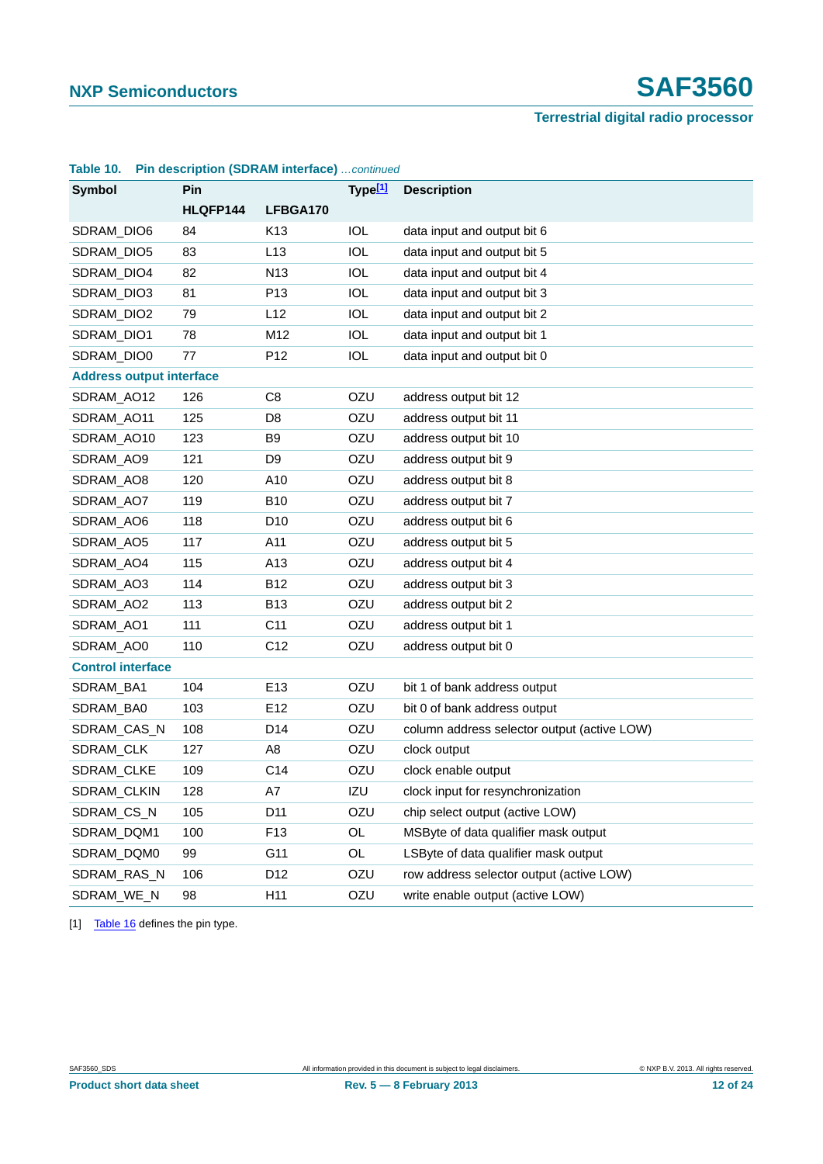# **NXP Semiconductors SAF3560**

#### **Terrestrial digital radio processor**

| TANIG TU.                       |            | <b>FIII GSCHAUL (SPINAIN INGHACE)</b> COMMIDEG |                     |                                             |
|---------------------------------|------------|------------------------------------------------|---------------------|---------------------------------------------|
| Symbol                          | <b>Pin</b> |                                                | Type <sub>[1]</sub> | <b>Description</b>                          |
|                                 | HLQFP144   | LFBGA170                                       |                     |                                             |
| SDRAM_DIO6                      | 84         | K <sub>13</sub>                                | <b>IOL</b>          | data input and output bit 6                 |
| SDRAM_DIO5                      | 83         | L13                                            | <b>IOL</b>          | data input and output bit 5                 |
| SDRAM_DIO4                      | 82         | N <sub>13</sub>                                | <b>IOL</b>          | data input and output bit 4                 |
| SDRAM_DIO3                      | 81         | P <sub>13</sub>                                | <b>IOL</b>          | data input and output bit 3                 |
| SDRAM_DIO2                      | 79         | L12                                            | <b>IOL</b>          | data input and output bit 2                 |
| SDRAM_DIO1                      | 78         | M12                                            | <b>IOL</b>          | data input and output bit 1                 |
| SDRAM_DIO0                      | 77         | P <sub>12</sub>                                | <b>IOL</b>          | data input and output bit 0                 |
| <b>Address output interface</b> |            |                                                |                     |                                             |
| SDRAM_AO12                      | 126        | C <sub>8</sub>                                 | OZU                 | address output bit 12                       |
| SDRAM_AO11                      | 125        | D8                                             | OZU                 | address output bit 11                       |
| SDRAM_AO10                      | 123        | B <sub>9</sub>                                 | OZU                 | address output bit 10                       |
| SDRAM_AO9                       | 121        | D9                                             | OZU                 | address output bit 9                        |
| SDRAM_AO8                       | 120        | A10                                            | OZU                 | address output bit 8                        |
| SDRAM_AO7                       | 119        | <b>B10</b>                                     | OZU                 | address output bit 7                        |
| SDRAM_AO6                       | 118        | D <sub>10</sub>                                | OZU                 | address output bit 6                        |
| SDRAM_AO5                       | 117        | A11                                            | OZU                 | address output bit 5                        |
| SDRAM_AO4                       | 115        | A <sub>13</sub>                                | OZU                 | address output bit 4                        |
| SDRAM_AO3                       | 114        | <b>B12</b>                                     | OZU                 | address output bit 3                        |
| SDRAM_AO2                       | 113        | <b>B13</b>                                     | OZU                 | address output bit 2                        |
| SDRAM_AO1                       | 111        | C <sub>11</sub>                                | OZU                 | address output bit 1                        |
| SDRAM_AO0                       | 110        | C <sub>12</sub>                                | OZU                 | address output bit 0                        |
| <b>Control interface</b>        |            |                                                |                     |                                             |
| SDRAM_BA1                       | 104        | E <sub>13</sub>                                | OZU                 | bit 1 of bank address output                |
| SDRAM_BA0                       | 103        | E <sub>12</sub>                                | OZU                 | bit 0 of bank address output                |
| SDRAM_CAS_N                     | 108        | D <sub>14</sub>                                | OZU                 | column address selector output (active LOW) |
| SDRAM_CLK                       | 127        | A <sub>8</sub>                                 | OZU                 | clock output                                |
| SDRAM_CLKE                      | 109        | C14                                            | OZU                 | clock enable output                         |
| SDRAM_CLKIN                     | 128        | A7                                             | IZU                 | clock input for resynchronization           |
| SDRAM CS_N                      | 105        | D <sub>11</sub>                                | OZU                 | chip select output (active LOW)             |
| SDRAM_DQM1                      | 100        | F <sub>13</sub>                                | OL                  | MSByte of data qualifier mask output        |
| SDRAM_DQM0                      | 99         | G11                                            | OL                  | LSByte of data qualifier mask output        |
| SDRAM_RAS_N                     | 106        | D <sub>12</sub>                                | OZU                 | row address selector output (active LOW)    |
| SDRAM_WE_N                      | 98         | H11                                            | OZU                 | write enable output (active LOW)            |

#### **Table 10. Pin description (SDRAM interface)** *…continued*

[1] [Table 16](#page-13-3) defines the pin type.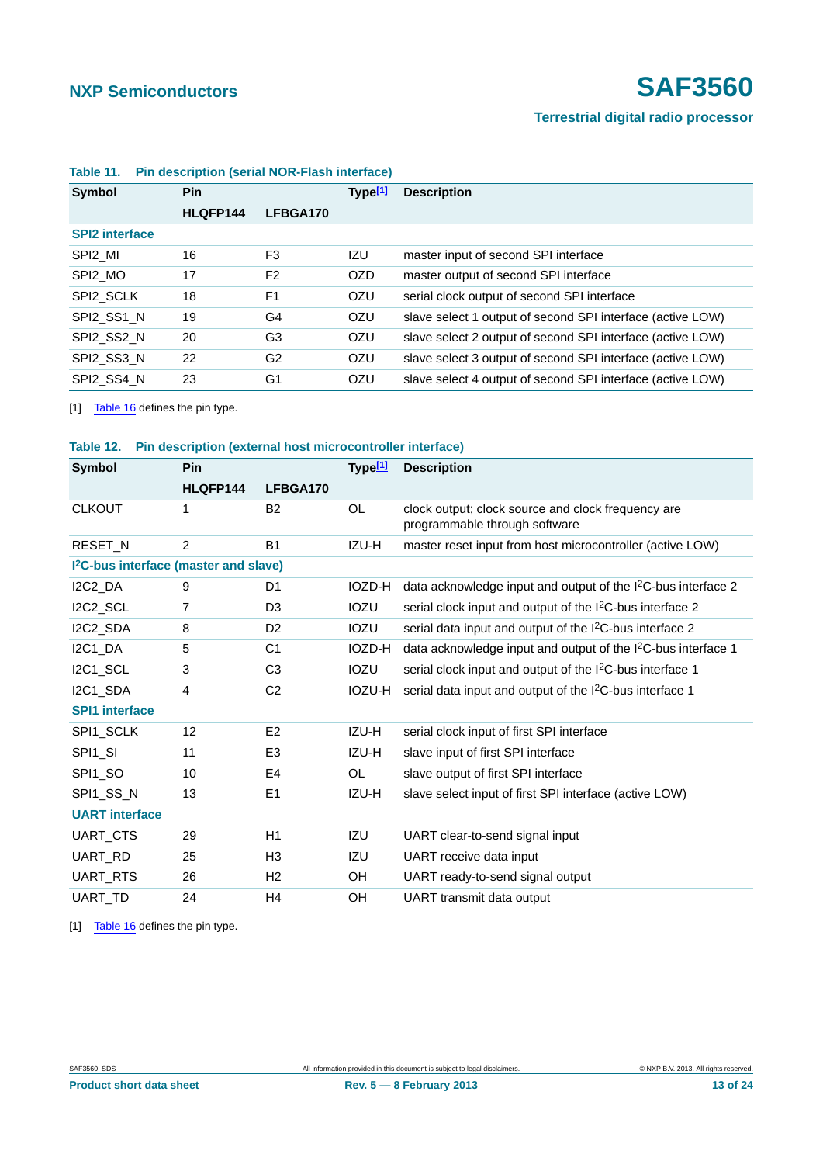| Symbol                | <b>Pin</b> |                | Type[1]    | <b>Description</b>                                         |  |  |
|-----------------------|------------|----------------|------------|------------------------------------------------------------|--|--|
|                       | HLQFP144   | LFBGA170       |            |                                                            |  |  |
| <b>SPI2</b> interface |            |                |            |                                                            |  |  |
| SPI2 MI               | 16         | F <sub>3</sub> | IZU        | master input of second SPI interface                       |  |  |
| SPI2 MO               | 17         | F <sub>2</sub> | OZD        | master output of second SPI interface                      |  |  |
| SPI2 SCLK             | 18         | F <sub>1</sub> | <b>OZU</b> | serial clock output of second SPI interface                |  |  |
| SPI2 SS1 N            | 19         | G4             | <b>OZU</b> | slave select 1 output of second SPI interface (active LOW) |  |  |
| SPI2 SS2 N            | 20         | G3             | OZU        | slave select 2 output of second SPI interface (active LOW) |  |  |
| SPI2 SS3 N            | 22         | G2             | <b>OZU</b> | slave select 3 output of second SPI interface (active LOW) |  |  |
| SPI2 SS4 N            | 23         | G <sub>1</sub> | OZU        | slave select 4 output of second SPI interface (active LOW) |  |  |

#### <span id="page-12-0"></span>**Table 11. Pin description (serial NOR-Flash interface)**

<span id="page-12-2"></span>[1] [Table 16](#page-13-3) defines the pin type.

<span id="page-12-1"></span>

| Table 12. Pin description (external host microcontroller interface) |
|---------------------------------------------------------------------|
|---------------------------------------------------------------------|

| Symbol<br><b>Pin</b>                              |          | Type[1]        | <b>Description</b> |                                                                                     |  |
|---------------------------------------------------|----------|----------------|--------------------|-------------------------------------------------------------------------------------|--|
|                                                   | HLQFP144 | LFBGA170       |                    |                                                                                     |  |
| <b>CLKOUT</b>                                     | 1        | B2             | <b>OL</b>          | clock output; clock source and clock frequency are<br>programmable through software |  |
| <b>RESET N</b>                                    | 2        | <b>B1</b>      | IZU-H              | master reset input from host microcontroller (active LOW)                           |  |
| I <sup>2</sup> C-bus interface (master and slave) |          |                |                    |                                                                                     |  |
| I2C2_DA                                           | 9        | D1             | IOZD-H             | data acknowledge input and output of the I <sup>2</sup> C-bus interface 2           |  |
| I2C2_SCL                                          | 7        | D3             | <b>IOZU</b>        | serial clock input and output of the I <sup>2</sup> C-bus interface 2               |  |
| I2C2_SDA                                          | 8        | D <sub>2</sub> | <b>IOZU</b>        | serial data input and output of the I <sup>2</sup> C-bus interface 2                |  |
| I2C1_DA                                           | 5        | C <sub>1</sub> | IOZD-H             | data acknowledge input and output of the I <sup>2</sup> C-bus interface 1           |  |
| I2C1_SCL                                          | 3        | C <sub>3</sub> | <b>IOZU</b>        | serial clock input and output of the I <sup>2</sup> C-bus interface 1               |  |
| I2C1 SDA                                          | 4        | C <sub>2</sub> | IOZU-H             | serial data input and output of the I <sup>2</sup> C-bus interface 1                |  |
| <b>SPI1 interface</b>                             |          |                |                    |                                                                                     |  |
| SPI1 SCLK                                         | 12       | E <sub>2</sub> | IZU-H              | serial clock input of first SPI interface                                           |  |
| SPI1_SI                                           | 11       | E <sub>3</sub> | IZU-H              | slave input of first SPI interface                                                  |  |
| SPI1 SO                                           | 10       | E4             | OL.                | slave output of first SPI interface                                                 |  |
| SPI1_SS_N                                         | 13       | E <sub>1</sub> | IZU-H              | slave select input of first SPI interface (active LOW)                              |  |
| <b>UART</b> interface                             |          |                |                    |                                                                                     |  |
| UART_CTS                                          | 29       | H1             | IZU                | UART clear-to-send signal input                                                     |  |
| UART RD                                           | 25       | H <sub>3</sub> | IZU                | UART receive data input                                                             |  |
| UART_RTS                                          | 26       | H <sub>2</sub> | OH.                | UART ready-to-send signal output                                                    |  |
| UART TD                                           | 24       | H4             | <b>OH</b>          | UART transmit data output                                                           |  |

<span id="page-12-3"></span>[1] [Table 16](#page-13-3) defines the pin type.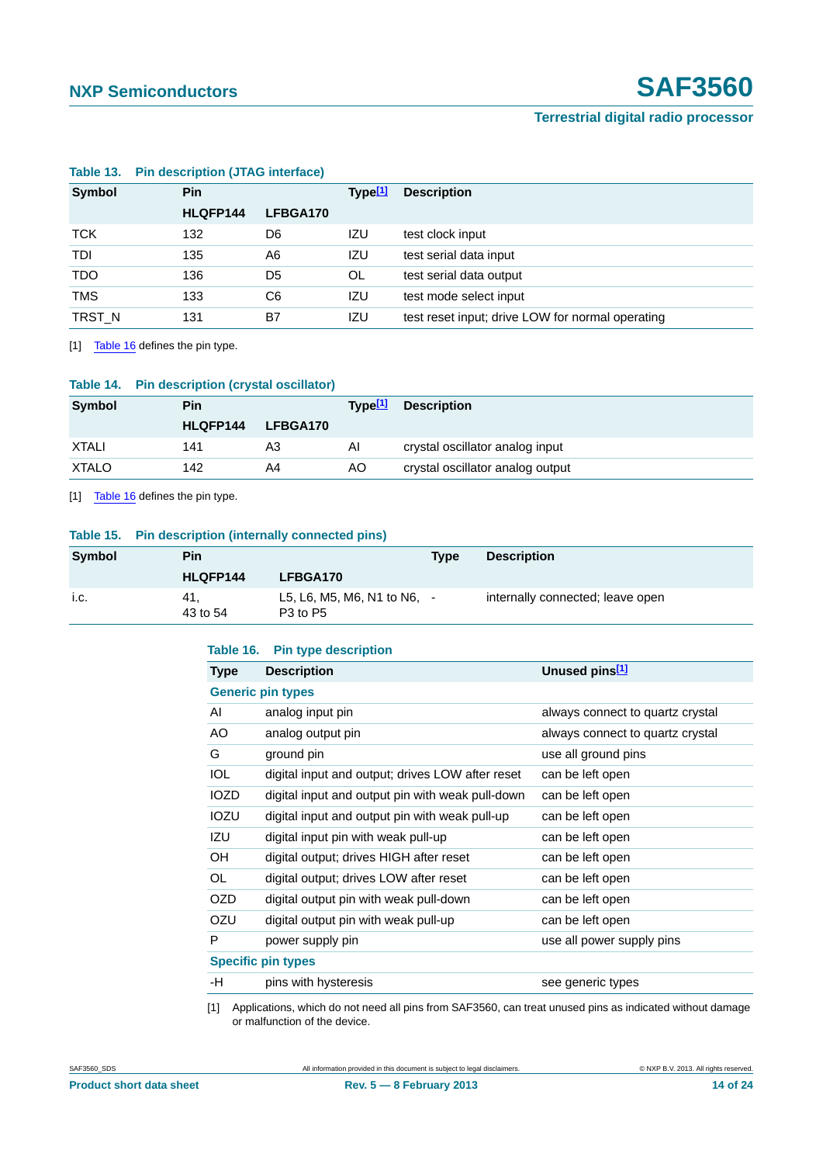| <b>Symbol</b><br><b>Pin</b> |          |          | Type[1] | <b>Description</b>                               |  |
|-----------------------------|----------|----------|---------|--------------------------------------------------|--|
|                             | HLQFP144 | LFBGA170 |         |                                                  |  |
| <b>TCK</b>                  | 132      | D6       | IZU     | test clock input                                 |  |
| <b>TDI</b>                  | 135      | A6       | IZU     | test serial data input                           |  |
| <b>TDO</b>                  | 136      | D5       | OL.     | test serial data output                          |  |
| <b>TMS</b>                  | 133      | C6       | IZU     | test mode select input                           |  |
| TRST_N                      | 131      | B7       | IZU     | test reset input; drive LOW for normal operating |  |

#### <span id="page-13-1"></span>**Table 13. Pin description (JTAG interface)**

<span id="page-13-4"></span>[1] [Table 16](#page-13-3) defines the pin type.

<span id="page-13-2"></span>

| Table 14. | <b>Pin description (crystal oscillator)</b> |  |  |
|-----------|---------------------------------------------|--|--|
|           |                                             |  |  |

| Symbol       | Pin             |                 | Tvpe <sup>[1]</sup> | <b>Description</b>               |
|--------------|-----------------|-----------------|---------------------|----------------------------------|
|              | <b>HLQFP144</b> | <b>LFBGA170</b> |                     |                                  |
| <b>XTALI</b> | 141             | A3              | AI                  | crystal oscillator analog input  |
| <b>XTALO</b> | 142             | A4              | AO.                 | crystal oscillator analog output |

<span id="page-13-5"></span>[1] [Table 16](#page-13-3) defines the pin type.

#### <span id="page-13-0"></span>**Table 15. Pin description (internally connected pins)**

| Symbol | <b>Pin</b>       |                                                                   | <b>Type</b> | <b>Description</b>               |
|--------|------------------|-------------------------------------------------------------------|-------------|----------------------------------|
|        | HLQFP144         | LFBGA170                                                          |             |                                  |
| i.c.   | -41.<br>43 to 54 | L5, L6, M5, M6, N1 to N6, $-$<br>P <sub>3</sub> to P <sub>5</sub> |             | internally connected; leave open |

#### <span id="page-13-3"></span>**Table 16. Pin type description**

| <b>Type</b> | <b>Description</b>                               | Unused pins <sup>[1]</sup>       |
|-------------|--------------------------------------------------|----------------------------------|
|             | <b>Generic pin types</b>                         |                                  |
| AI          | analog input pin                                 | always connect to quartz crystal |
| AO          | analog output pin                                | always connect to quartz crystal |
| G           | ground pin                                       | use all ground pins              |
| <b>IOL</b>  | digital input and output; drives LOW after reset | can be left open                 |
| <b>IOZD</b> | digital input and output pin with weak pull-down | can be left open                 |
| IOZU        | digital input and output pin with weak pull-up   | can be left open                 |
| IZU         | digital input pin with weak pull-up              | can be left open                 |
| <b>OH</b>   | digital output; drives HIGH after reset          | can be left open                 |
| OL.         | digital output; drives LOW after reset           | can be left open                 |
| <b>OZD</b>  | digital output pin with weak pull-down           | can be left open                 |
| OZU         | digital output pin with weak pull-up             | can be left open                 |
| P           | power supply pin                                 | use all power supply pins        |
|             | <b>Specific pin types</b>                        |                                  |
| -H          | pins with hysteresis                             | see generic types                |

<span id="page-13-6"></span>[1] Applications, which do not need all pins from SAF3560, can treat unused pins as indicated without damage or malfunction of the device.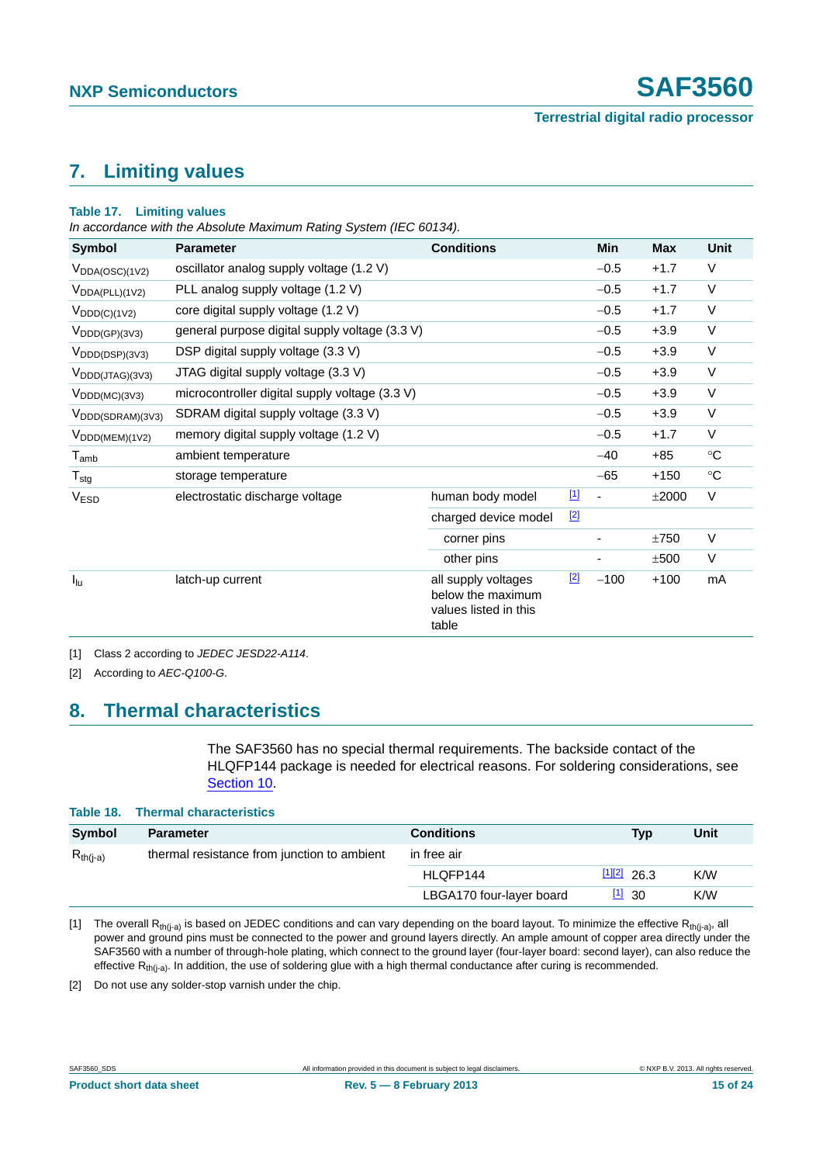# <span id="page-14-4"></span>**7. Limiting values**

#### **Table 17. Limiting values**

*In accordance with the Absolute Maximum Rating System (IEC 60134).*

| <b>Symbol</b>                           | <b>Parameter</b>                               | <b>Conditions</b>                                                          |             | Min                      | <b>Max</b> | <b>Unit</b>       |
|-----------------------------------------|------------------------------------------------|----------------------------------------------------------------------------|-------------|--------------------------|------------|-------------------|
| $V_{DDA(OSC)(1V2)}$                     | oscillator analog supply voltage (1.2 V)       |                                                                            |             | $-0.5$                   | $+1.7$     | V                 |
| $V_{DDA(PLL)(1V2)}$                     | PLL analog supply voltage (1.2 V)              |                                                                            |             | $-0.5$                   | $+1.7$     | V                 |
| $V_{\text{DDD}(C)(1V2)}$                | core digital supply voltage (1.2 V)            |                                                                            |             | $-0.5$                   | $+1.7$     | V                 |
| $V_{\text{DDD}(\text{GP})(3\vee 3)}$    | general purpose digital supply voltage (3.3 V) |                                                                            |             | $-0.5$                   | $+3.9$     | V                 |
| $V_{\text{DDD}(\text{DSP})}(3V3)$       | DSP digital supply voltage (3.3 V)             |                                                                            |             | $-0.5$                   | $+3.9$     | V                 |
| $V_{\text{DDD}(JTAG)(3V3)}$             | JTAG digital supply voltage (3.3 V)            |                                                                            |             | $-0.5$                   | $+3.9$     | V                 |
| $V_{\text{DDD}(MC)(3V3)}$               | microcontroller digital supply voltage (3.3 V) |                                                                            |             | $-0.5$                   | $+3.9$     | $\vee$            |
| $V_{\text{DDD}(\text{SDRAM})(3\vee 3)}$ | SDRAM digital supply voltage (3.3 V)           |                                                                            |             | $-0.5$                   | $+3.9$     | V                 |
| $V_{\text{DDD(MEM)(1V2)}}$              | memory digital supply voltage (1.2 V)          |                                                                            |             | $-0.5$                   | $+1.7$     | V                 |
| $T_{amb}$                               | ambient temperature                            |                                                                            |             | $-40$                    | $+85$      | $^{\circ}{\rm C}$ |
| $T_{\text{stg}}$                        | storage temperature                            |                                                                            |             | $-65$                    | $+150$     | $^\circ \text{C}$ |
| <b>VESD</b>                             | electrostatic discharge voltage                | human body model                                                           | $\boxed{1}$ | $\overline{\phantom{a}}$ | ±2000      | V                 |
|                                         |                                                | charged device model                                                       | $[2]$       |                          |            |                   |
|                                         |                                                | corner pins                                                                |             |                          | ±750       | V                 |
|                                         |                                                | other pins                                                                 |             |                          | ±500       | $\vee$            |
| $I_{\text{lu}}$                         | latch-up current                               | all supply voltages<br>below the maximum<br>values listed in this<br>table | $[2]$       | $-100$                   | $+100$     | mA                |

<span id="page-14-2"></span>[1] Class 2 according to *JEDEC JESD22-A114*.

<span id="page-14-3"></span>[2] According to *AEC-Q100-G*.

# <span id="page-14-5"></span>**8. Thermal characteristics**

The SAF3560 has no special thermal requirements. The backside contact of the HLQFP144 package is needed for electrical reasons. For soldering considerations, see [Section 10](#page-17-0).

| Table 18. Thermal characteristics           |                          |                       |      |
|---------------------------------------------|--------------------------|-----------------------|------|
| <b>Parameter</b>                            | <b>Conditions</b>        | Typ                   | Unit |
| thermal resistance from junction to ambient | in free air              |                       |      |
|                                             | HLQFP144                 | $\frac{[1][2]}{26.3}$ | K/W  |
|                                             | LBGA170 four-layer board | $\frac{11}{30}$       | K/W  |
|                                             |                          |                       |      |

<span id="page-14-0"></span>[1] The overall R<sub>th(j-a)</sub> is based on JEDEC conditions and can vary depending on the board layout. To minimize the effective R<sub>th(j-a)</sub>, all power and ground pins must be connected to the power and ground layers directly. An ample amount of copper area directly under the SAF3560 with a number of through-hole plating, which connect to the ground layer (four-layer board: second layer), can also reduce the effective  $R<sub>th(i-a)</sub>$ . In addition, the use of soldering glue with a high thermal conductance after curing is recommended.

<span id="page-14-1"></span>[2] Do not use any solder-stop varnish under the chip.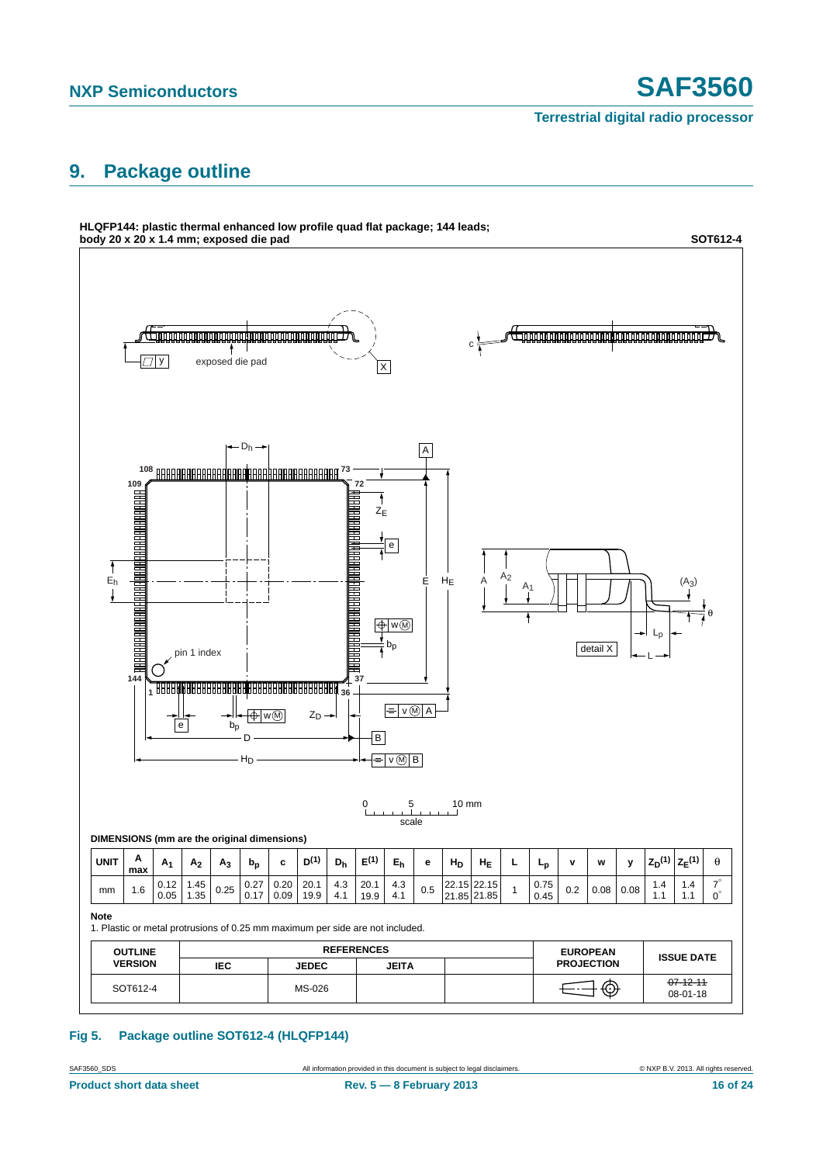# <span id="page-15-0"></span>**9. Package outline**



#### **Fig 5. Package outline SOT612-4 (HLQFP144)**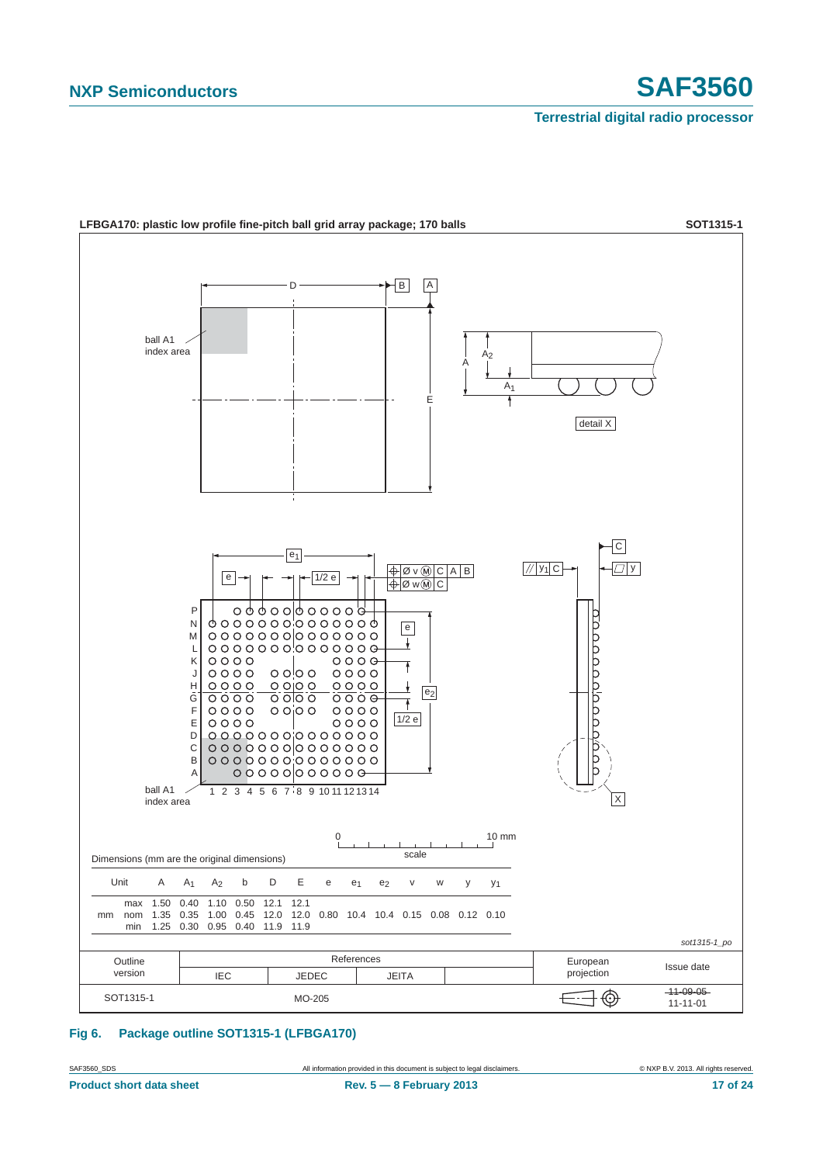

**Fig 6. Package outline SOT1315-1 (LFBGA170)**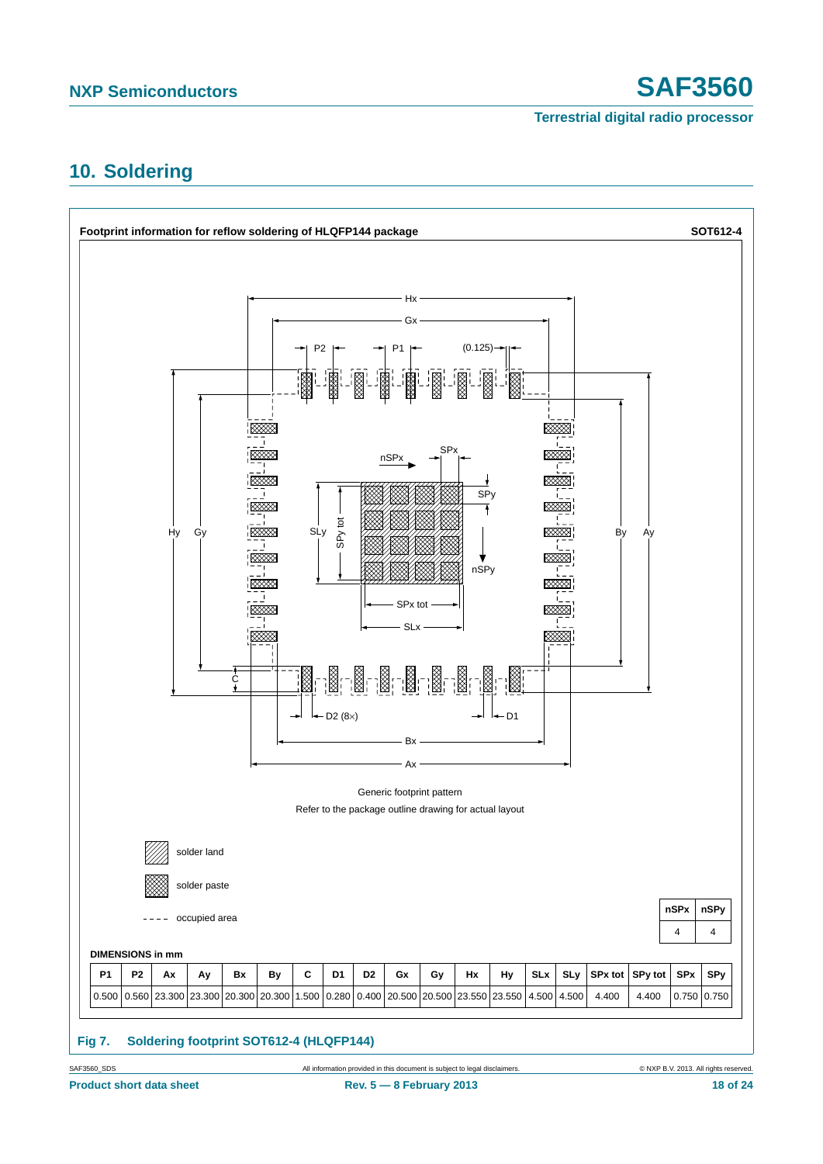# <span id="page-17-0"></span>**10. Soldering**

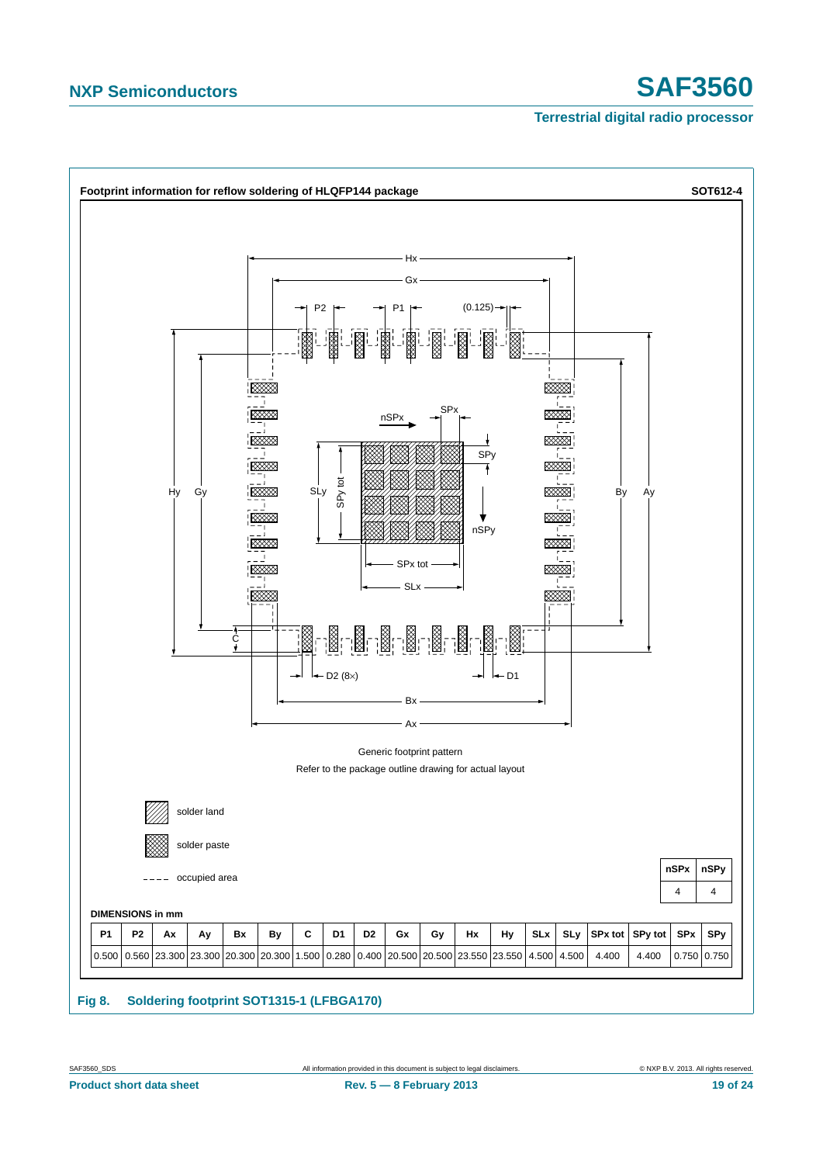# **NXP Semiconductors SAF3560**

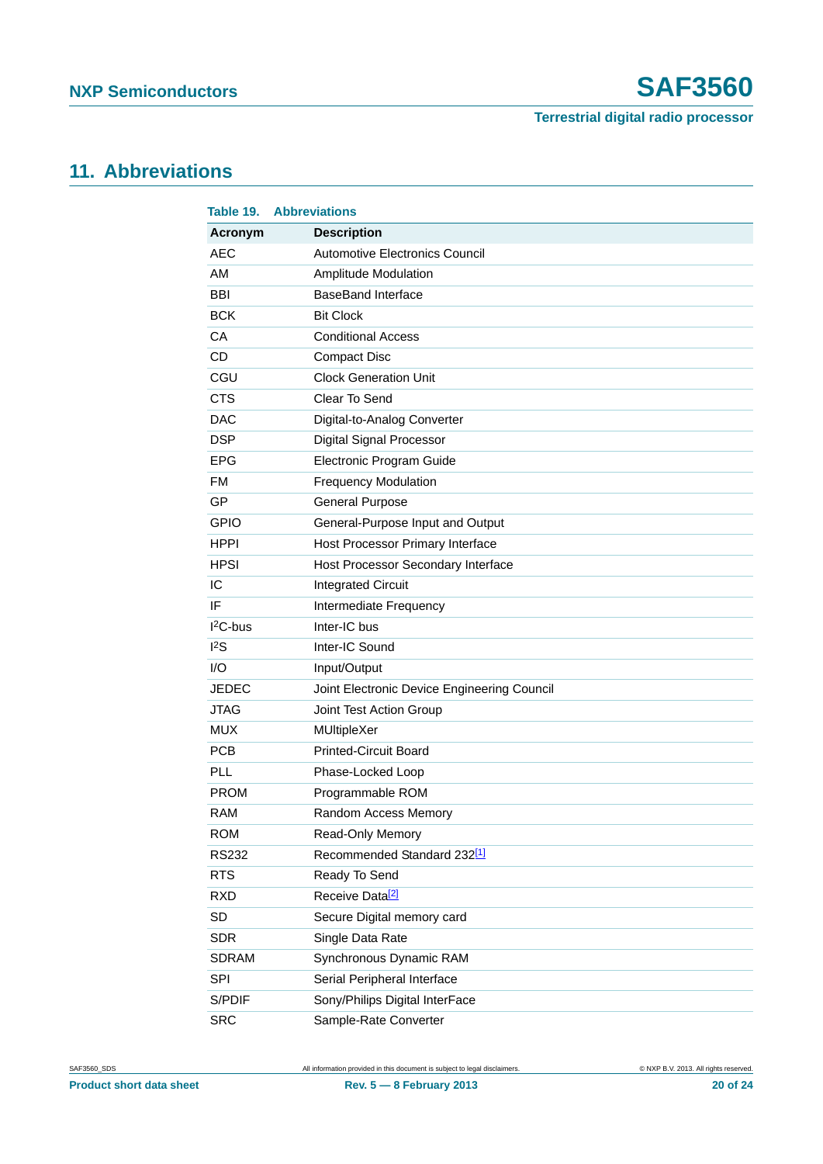# <span id="page-19-0"></span>**11. Abbreviations**

| Table 19.    | <b>Abbreviations</b>                        |
|--------------|---------------------------------------------|
| Acronym      | <b>Description</b>                          |
| <b>AEC</b>   | Automotive Electronics Council              |
| AM           | <b>Amplitude Modulation</b>                 |
| <b>BBI</b>   | <b>BaseBand Interface</b>                   |
| <b>BCK</b>   | <b>Bit Clock</b>                            |
| CA           | <b>Conditional Access</b>                   |
| <b>CD</b>    | <b>Compact Disc</b>                         |
| CGU          | <b>Clock Generation Unit</b>                |
| <b>CTS</b>   | Clear To Send                               |
| <b>DAC</b>   | Digital-to-Analog Converter                 |
| <b>DSP</b>   | <b>Digital Signal Processor</b>             |
| <b>EPG</b>   | Electronic Program Guide                    |
| <b>FM</b>    | <b>Frequency Modulation</b>                 |
| GP           | <b>General Purpose</b>                      |
| <b>GPIO</b>  | General-Purpose Input and Output            |
| <b>HPPI</b>  | Host Processor Primary Interface            |
| <b>HPSI</b>  | Host Processor Secondary Interface          |
| IC           | <b>Integrated Circuit</b>                   |
| IF           | Intermediate Frequency                      |
| $I2C-bus$    | Inter-IC bus                                |
| $I^2S$       | Inter-IC Sound                              |
| 1/O          | Input/Output                                |
| <b>JEDEC</b> | Joint Electronic Device Engineering Council |
| <b>JTAG</b>  | Joint Test Action Group                     |
| <b>MUX</b>   | MUltipleXer                                 |
| <b>PCB</b>   | <b>Printed-Circuit Board</b>                |
| PLL          | Phase-Locked Loop                           |
| <b>PROM</b>  | Programmable ROM                            |
| <b>RAM</b>   | Random Access Memory                        |
| <b>ROM</b>   | Read-Only Memory                            |
| <b>RS232</b> | Recommended Standard 232[1]                 |
| <b>RTS</b>   | Ready To Send                               |
| <b>RXD</b>   | Receive Data <sup>[2]</sup>                 |
| SD           | Secure Digital memory card                  |
| <b>SDR</b>   | Single Data Rate                            |
| <b>SDRAM</b> | Synchronous Dynamic RAM                     |
| SPI          | Serial Peripheral Interface                 |
| S/PDIF       | Sony/Philips Digital InterFace              |
| <b>SRC</b>   | Sample-Rate Converter                       |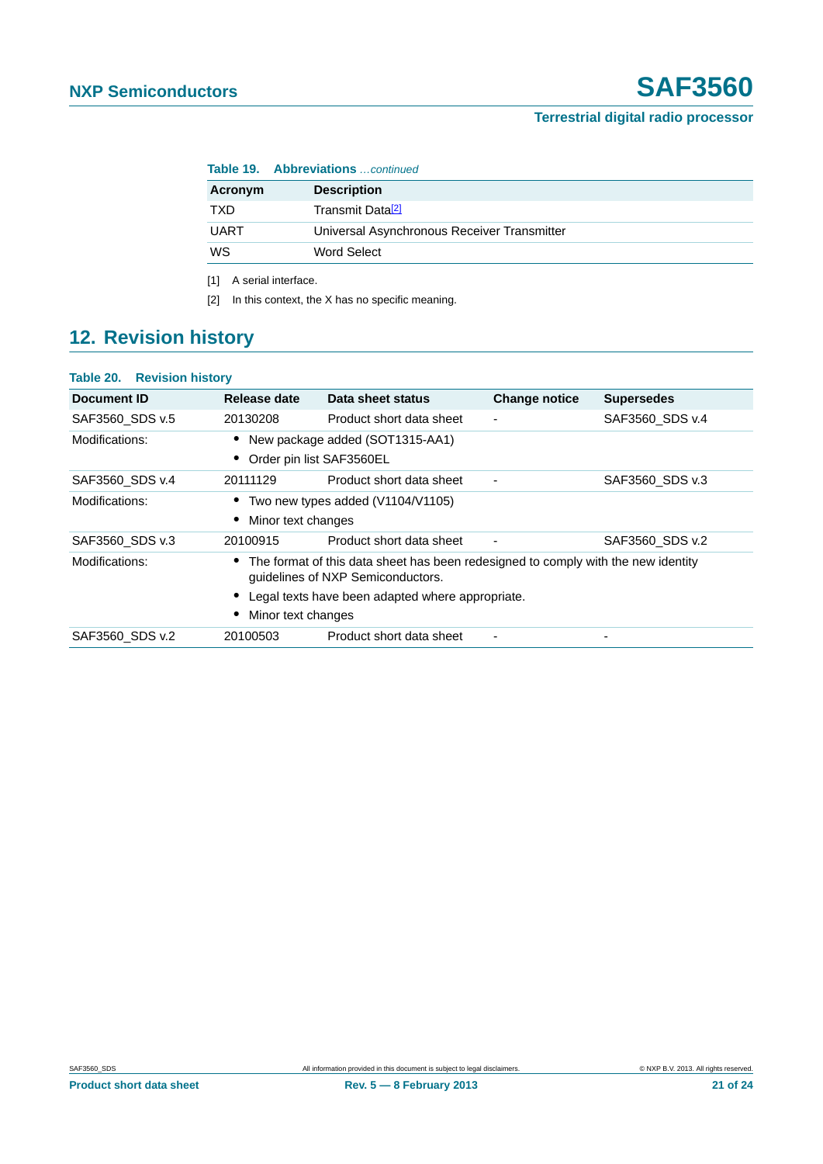| <b>Table 19. Abbreviations</b> continued |                                             |  |  |
|------------------------------------------|---------------------------------------------|--|--|
| Acronym                                  | <b>Description</b>                          |  |  |
| TXD                                      | Transmit Data <sup>[2]</sup>                |  |  |
| <b>UART</b>                              | Universal Asynchronous Receiver Transmitter |  |  |
| WS                                       | Word Select                                 |  |  |
|                                          |                                             |  |  |

<span id="page-20-0"></span>[1] A serial interface.

<span id="page-20-1"></span>[2] In this context, the X has no specific meaning.

# <span id="page-20-2"></span>**12. Revision history**

#### **Table 20. Revision history**

| Document ID     | Release date                                                                                                                                                                                     | Data sheet status                   | <b>Change notice</b>     | <b>Supersedes</b> |  |
|-----------------|--------------------------------------------------------------------------------------------------------------------------------------------------------------------------------------------------|-------------------------------------|--------------------------|-------------------|--|
| SAF3560 SDS v.5 | 20130208                                                                                                                                                                                         | Product short data sheet            | $\overline{\phantom{a}}$ | SAF3560 SDS v.4   |  |
| Modifications:  | • New package added (SOT1315-AA1)<br>Order pin list SAF3560EL                                                                                                                                    |                                     |                          |                   |  |
| SAF3560 SDS v.4 | 20111129                                                                                                                                                                                         | Product short data sheet            | $\blacksquare$           | SAF3560 SDS v.3   |  |
| Modifications:  | Minor text changes                                                                                                                                                                               | • Two new types added (V1104/V1105) |                          |                   |  |
| SAF3560 SDS v.3 | 20100915                                                                                                                                                                                         | Product short data sheet            | $\overline{\phantom{a}}$ | SAF3560 SDS v.2   |  |
| Modifications:  | The format of this data sheet has been redesigned to comply with the new identity<br>guidelines of NXP Semiconductors.<br>Legal texts have been adapted where appropriate.<br>Minor text changes |                                     |                          |                   |  |
| SAF3560 SDS v.2 | 20100503                                                                                                                                                                                         | Product short data sheet            | $\blacksquare$           | ٠                 |  |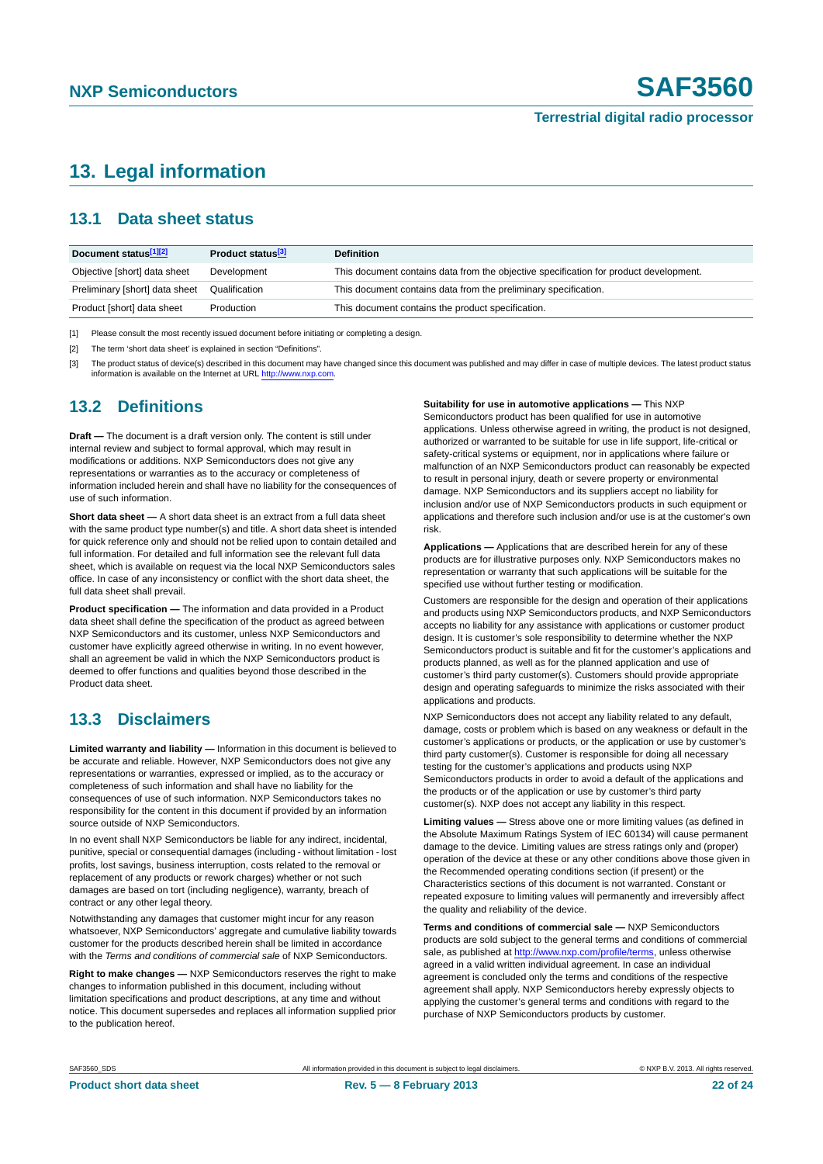# <span id="page-21-0"></span>**13. Legal information**

#### <span id="page-21-1"></span>**13.1 Data sheet status**

| Document status[1][2]          | Product status <sup>[3]</sup> | <b>Definition</b>                                                                     |
|--------------------------------|-------------------------------|---------------------------------------------------------------------------------------|
| Objective [short] data sheet   | Development                   | This document contains data from the objective specification for product development. |
| Preliminary [short] data sheet | Qualification                 | This document contains data from the preliminary specification.                       |
| Product [short] data sheet     | Production                    | This document contains the product specification.                                     |

[1] Please consult the most recently issued document before initiating or completing a design.

[2] The term 'short data sheet' is explained in section "Definitions".

[3] The product status of device(s) described in this document may have changed since this document was published and may differ in case of multiple devices. The latest product status<br>information is available on the Intern

#### <span id="page-21-2"></span>**13.2 Definitions**

**Draft —** The document is a draft version only. The content is still under internal review and subject to formal approval, which may result in modifications or additions. NXP Semiconductors does not give any representations or warranties as to the accuracy or completeness of information included herein and shall have no liability for the consequences of use of such information.

**Short data sheet —** A short data sheet is an extract from a full data sheet with the same product type number(s) and title. A short data sheet is intended for quick reference only and should not be relied upon to contain detailed and full information. For detailed and full information see the relevant full data sheet, which is available on request via the local NXP Semiconductors sales office. In case of any inconsistency or conflict with the short data sheet, the full data sheet shall prevail.

**Product specification —** The information and data provided in a Product data sheet shall define the specification of the product as agreed between NXP Semiconductors and its customer, unless NXP Semiconductors and customer have explicitly agreed otherwise in writing. In no event however, shall an agreement be valid in which the NXP Semiconductors product is deemed to offer functions and qualities beyond those described in the Product data sheet.

### <span id="page-21-3"></span>**13.3 Disclaimers**

**Limited warranty and liability —** Information in this document is believed to be accurate and reliable. However, NXP Semiconductors does not give any representations or warranties, expressed or implied, as to the accuracy or completeness of such information and shall have no liability for the consequences of use of such information. NXP Semiconductors takes no responsibility for the content in this document if provided by an information source outside of NXP Semiconductors.

In no event shall NXP Semiconductors be liable for any indirect, incidental, punitive, special or consequential damages (including - without limitation - lost profits, lost savings, business interruption, costs related to the removal or replacement of any products or rework charges) whether or not such damages are based on tort (including negligence), warranty, breach of contract or any other legal theory.

Notwithstanding any damages that customer might incur for any reason whatsoever, NXP Semiconductors' aggregate and cumulative liability towards customer for the products described herein shall be limited in accordance with the *Terms and conditions of commercial sale* of NXP Semiconductors.

**Right to make changes —** NXP Semiconductors reserves the right to make changes to information published in this document, including without limitation specifications and product descriptions, at any time and without notice. This document supersedes and replaces all information supplied prior to the publication hereof.

#### **Suitability for use in automotive applications —** This NXP

Semiconductors product has been qualified for use in automotive applications. Unless otherwise agreed in writing, the product is not designed, authorized or warranted to be suitable for use in life support, life-critical or safety-critical systems or equipment, nor in applications where failure or malfunction of an NXP Semiconductors product can reasonably be expected to result in personal injury, death or severe property or environmental damage. NXP Semiconductors and its suppliers accept no liability for inclusion and/or use of NXP Semiconductors products in such equipment or applications and therefore such inclusion and/or use is at the customer's own risk.

**Applications —** Applications that are described herein for any of these products are for illustrative purposes only. NXP Semiconductors makes no representation or warranty that such applications will be suitable for the specified use without further testing or modification.

Customers are responsible for the design and operation of their applications and products using NXP Semiconductors products, and NXP Semiconductors accepts no liability for any assistance with applications or customer product design. It is customer's sole responsibility to determine whether the NXP Semiconductors product is suitable and fit for the customer's applications and products planned, as well as for the planned application and use of customer's third party customer(s). Customers should provide appropriate design and operating safeguards to minimize the risks associated with their applications and products.

NXP Semiconductors does not accept any liability related to any default, damage, costs or problem which is based on any weakness or default in the customer's applications or products, or the application or use by customer's third party customer(s). Customer is responsible for doing all necessary testing for the customer's applications and products using NXP Semiconductors products in order to avoid a default of the applications and the products or of the application or use by customer's third party customer(s). NXP does not accept any liability in this respect.

**Limiting values —** Stress above one or more limiting values (as defined in the Absolute Maximum Ratings System of IEC 60134) will cause permanent damage to the device. Limiting values are stress ratings only and (proper) operation of the device at these or any other conditions above those given in the Recommended operating conditions section (if present) or the Characteristics sections of this document is not warranted. Constant or repeated exposure to limiting values will permanently and irreversibly affect the quality and reliability of the device.

**Terms and conditions of commercial sale —** NXP Semiconductors products are sold subject to the general terms and conditions of commercial sale, as published at<http://www.nxp.com/profile/terms>, unless otherwise agreed in a valid written individual agreement. In case an individual agreement is concluded only the terms and conditions of the respective agreement shall apply. NXP Semiconductors hereby expressly objects to applying the customer's general terms and conditions with regard to the purchase of NXP Semiconductors products by customer.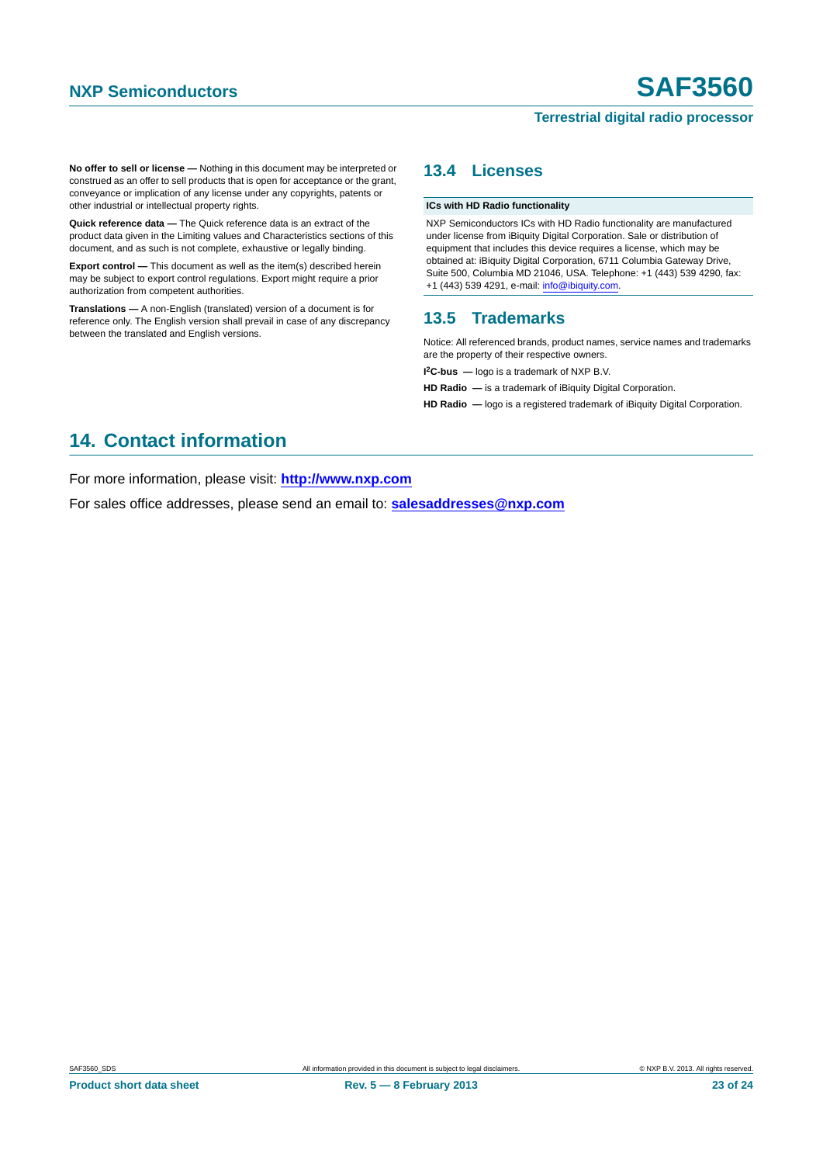**No offer to sell or license —** Nothing in this document may be interpreted or construed as an offer to sell products that is open for acceptance or the grant, conveyance or implication of any license under any copyrights, patents or other industrial or intellectual property rights.

**Quick reference data —** The Quick reference data is an extract of the product data given in the Limiting values and Characteristics sections of this document, and as such is not complete, exhaustive or legally binding.

**Export control —** This document as well as the item(s) described herein may be subject to export control regulations. Export might require a prior authorization from competent authorities.

**Translations —** A non-English (translated) version of a document is for reference only. The English version shall prevail in case of any discrepancy between the translated and English versions.

#### <span id="page-22-1"></span>**13.4 Licenses**

#### **ICs with HD Radio functionality**

NXP Semiconductors ICs with HD Radio functionality are manufactured under license from iBiquity Digital Corporation. Sale or distribution of equipment that includes this device requires a license, which may be obtained at: iBiquity Digital Corporation, 6711 Columbia Gateway Drive, Suite 500, Columbia MD 21046, USA. Telephone: +1 (443) 539 4290, fax: +1 (443) 539 4291, e-mail: [info@ibiquity.com](mailto:info@ibiquity.com).

#### <span id="page-22-2"></span>**13.5 Trademarks**

Notice: All referenced brands, product names, service names and trademarks are the property of their respective owners.

**I 2C-bus —** logo is a trademark of NXP B.V.

**HD Radio —** is a trademark of iBiquity Digital Corporation.

**HD Radio —** logo is a registered trademark of iBiquity Digital Corporation.

# <span id="page-22-0"></span>**14. Contact information**

For more information, please visit: **http://www.nxp.com**

For sales office addresses, please send an email to: **salesaddresses@nxp.com**